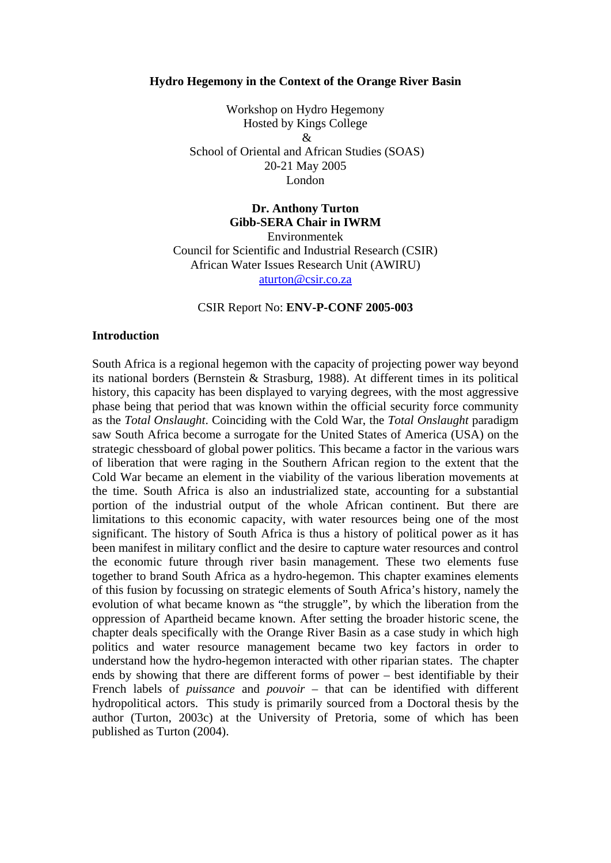#### **Hydro Hegemony in the Context of the Orange River Basin**

Workshop on Hydro Hegemony Hosted by Kings College  $\mathcal{R}$  School of Oriental and African Studies (SOAS) 20-21 May 2005 London

#### **Dr. Anthony Turton Gibb-SERA Chair in IWRM**  Environmentek

Council for Scientific and Industrial Research (CSIR) African Water Issues Research Unit (AWIRU) [aturton@csir.co.za](mailto:aturton@csir.co.za)

#### CSIR Report No: **ENV-P-CONF 2005-003**

#### **Introduction**

South Africa is a regional hegemon with the capacity of projecting power way beyond its national borders (Bernstein & Strasburg, 1988). At different times in its political history, this capacity has been displayed to varying degrees, with the most aggressive phase being that period that was known within the official security force community as the *Total Onslaught*. Coinciding with the Cold War, the *Total Onslaught* paradigm saw South Africa become a surrogate for the United States of America (USA) on the strategic chessboard of global power politics. This became a factor in the various wars of liberation that were raging in the Southern African region to the extent that the Cold War became an element in the viability of the various liberation movements at the time. South Africa is also an industrialized state, accounting for a substantial portion of the industrial output of the whole African continent. But there are limitations to this economic capacity, with water resources being one of the most significant. The history of South Africa is thus a history of political power as it has been manifest in military conflict and the desire to capture water resources and control the economic future through river basin management. These two elements fuse together to brand South Africa as a hydro-hegemon. This chapter examines elements of this fusion by focussing on strategic elements of South Africa's history, namely the evolution of what became known as "the struggle", by which the liberation from the oppression of Apartheid became known. After setting the broader historic scene, the chapter deals specifically with the Orange River Basin as a case study in which high politics and water resource management became two key factors in order to understand how the hydro-hegemon interacted with other riparian states. The chapter ends by showing that there are different forms of power – best identifiable by their French labels of *puissance* and *pouvoir* – that can be identified with different hydropolitical actors. This study is primarily sourced from a Doctoral thesis by the author (Turton, 2003c) at the University of Pretoria, some of which has been published as Turton (2004).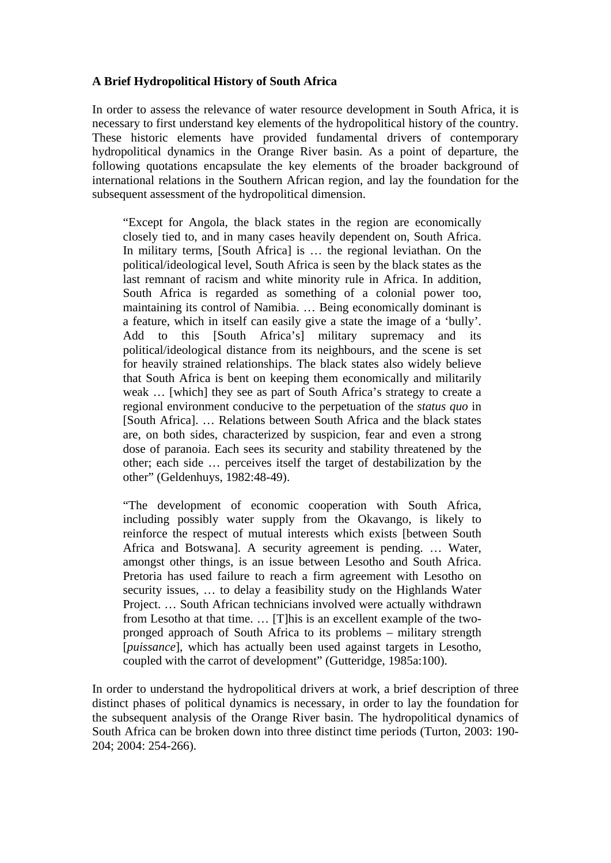# **A Brief Hydropolitical History of South Africa**

In order to assess the relevance of water resource development in South Africa, it is necessary to first understand key elements of the hydropolitical history of the country. These historic elements have provided fundamental drivers of contemporary hydropolitical dynamics in the Orange River basin. As a point of departure, the following quotations encapsulate the key elements of the broader background of international relations in the Southern African region, and lay the foundation for the subsequent assessment of the hydropolitical dimension.

"Except for Angola, the black states in the region are economically closely tied to, and in many cases heavily dependent on, South Africa. In military terms, [South Africa] is … the regional leviathan. On the political/ideological level, South Africa is seen by the black states as the last remnant of racism and white minority rule in Africa. In addition, South Africa is regarded as something of a colonial power too, maintaining its control of Namibia. … Being economically dominant is a feature, which in itself can easily give a state the image of a 'bully'. Add to this [South Africa's] military supremacy and its political/ideological distance from its neighbours, and the scene is set for heavily strained relationships. The black states also widely believe that South Africa is bent on keeping them economically and militarily weak … [which] they see as part of South Africa's strategy to create a regional environment conducive to the perpetuation of the *status quo* in [South Africa]. … Relations between South Africa and the black states are, on both sides, characterized by suspicion, fear and even a strong dose of paranoia. Each sees its security and stability threatened by the other; each side … perceives itself the target of destabilization by the other" (Geldenhuys, 1982:48-49).

"The development of economic cooperation with South Africa, including possibly water supply from the Okavango, is likely to reinforce the respect of mutual interests which exists [between South Africa and Botswana]. A security agreement is pending. … Water, amongst other things, is an issue between Lesotho and South Africa. Pretoria has used failure to reach a firm agreement with Lesotho on security issues, … to delay a feasibility study on the Highlands Water Project. … South African technicians involved were actually withdrawn from Lesotho at that time. … [T]his is an excellent example of the twopronged approach of South Africa to its problems – military strength [*puissance*], which has actually been used against targets in Lesotho, coupled with the carrot of development" (Gutteridge, 1985a:100).

In order to understand the hydropolitical drivers at work, a brief description of three distinct phases of political dynamics is necessary, in order to lay the foundation for the subsequent analysis of the Orange River basin. The hydropolitical dynamics of South Africa can be broken down into three distinct time periods (Turton, 2003: 190- 204; 2004: 254-266).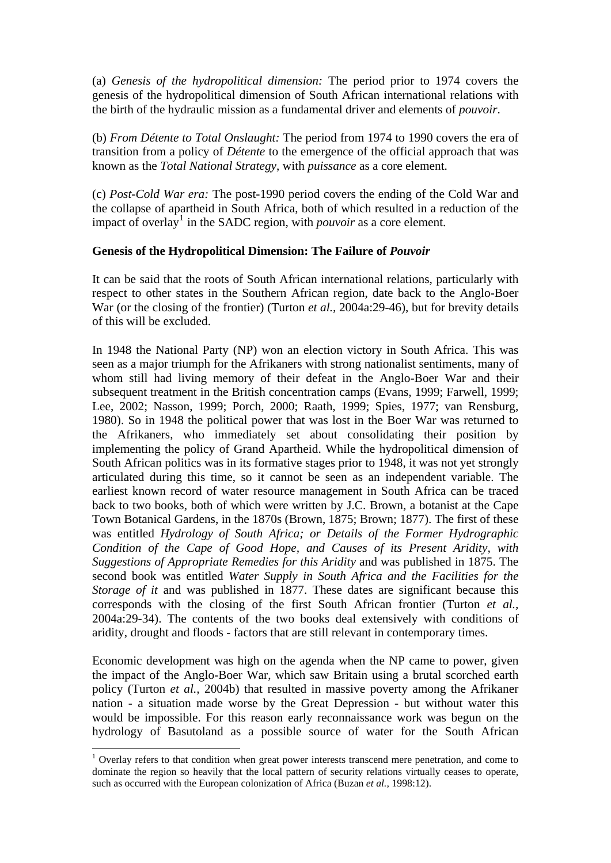(a) *Genesis of the hydropolitical dimension:* The period prior to 1974 covers the genesis of the hydropolitical dimension of South African international relations with the birth of the hydraulic mission as a fundamental driver and elements of *pouvoir*.

(b) *From Détente to Total Onslaught:* The period from 1974 to 1990 covers the era of transition from a policy of *Détente* to the emergence of the official approach that was known as the *Total National Strategy*, with *puissance* as a core element.

(c) *Post-Cold War era:* The post-1990 period covers the ending of the Cold War and the collapse of apartheid in South Africa, both of which resulted in a reduction of the impact of overlay<sup>[1](#page-2-0)</sup> in the SADC region, with *pouvoir* as a core element.

## **Genesis of the Hydropolitical Dimension: The Failure of** *Pouvoir*

It can be said that the roots of South African international relations, particularly with respect to other states in the Southern African region, date back to the Anglo-Boer War (or the closing of the frontier) (Turton *et al.*, 2004a:29-46), but for brevity details of this will be excluded.

In 1948 the National Party (NP) won an election victory in South Africa. This was seen as a major triumph for the Afrikaners with strong nationalist sentiments, many of whom still had living memory of their defeat in the Anglo-Boer War and their subsequent treatment in the British concentration camps (Evans, 1999; Farwell, 1999; Lee, 2002; Nasson, 1999; Porch, 2000; Raath, 1999; Spies, 1977; van Rensburg, 1980). So in 1948 the political power that was lost in the Boer War was returned to the Afrikaners, who immediately set about consolidating their position by implementing the policy of Grand Apartheid. While the hydropolitical dimension of South African politics was in its formative stages prior to 1948, it was not yet strongly articulated during this time, so it cannot be seen as an independent variable. The earliest known record of water resource management in South Africa can be traced back to two books, both of which were written by J.C. Brown, a botanist at the Cape Town Botanical Gardens, in the 1870s (Brown, 1875; Brown; 1877). The first of these was entitled *Hydrology of South Africa; or Details of the Former Hydrographic Condition of the Cape of Good Hope, and Causes of its Present Aridity, with Suggestions of Appropriate Remedies for this Aridity* and was published in 1875. The second book was entitled *Water Supply in South Africa and the Facilities for the Storage of it* and was published in 1877. These dates are significant because this corresponds with the closing of the first South African frontier (Turton *et al.,* 2004a:29-34). The contents of the two books deal extensively with conditions of aridity, drought and floods - factors that are still relevant in contemporary times.

Economic development was high on the agenda when the NP came to power, given the impact of the Anglo-Boer War, which saw Britain using a brutal scorched earth policy (Turton *et al.,* 2004b) that resulted in massive poverty among the Afrikaner nation - a situation made worse by the Great Depression - but without water this would be impossible. For this reason early reconnaissance work was begun on the hydrology of Basutoland as a possible source of water for the South African

 $\overline{a}$ 

<span id="page-2-0"></span><sup>&</sup>lt;sup>1</sup> Overlay refers to that condition when great power interests transcend mere penetration, and come to dominate the region so heavily that the local pattern of security relations virtually ceases to operate, such as occurred with the European colonization of Africa (Buzan *et al.,* 1998:12).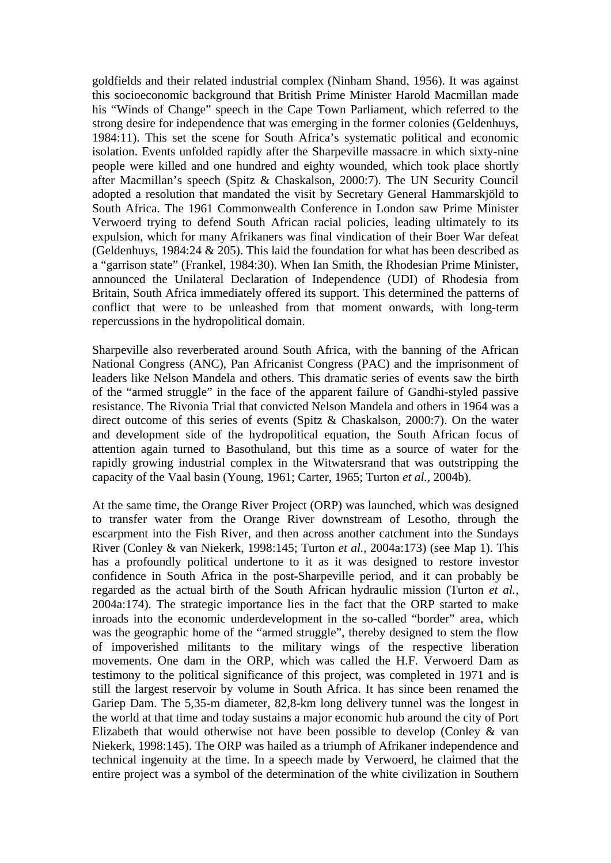goldfields and their related industrial complex (Ninham Shand, 1956). It was against this socioeconomic background that British Prime Minister Harold Macmillan made his "Winds of Change" speech in the Cape Town Parliament, which referred to the strong desire for independence that was emerging in the former colonies (Geldenhuys, 1984:11). This set the scene for South Africa's systematic political and economic isolation. Events unfolded rapidly after the Sharpeville massacre in which sixty-nine people were killed and one hundred and eighty wounded, which took place shortly after Macmillan's speech (Spitz & Chaskalson, 2000:7). The UN Security Council adopted a resolution that mandated the visit by Secretary General Hammarskjöld to South Africa. The 1961 Commonwealth Conference in London saw Prime Minister Verwoerd trying to defend South African racial policies, leading ultimately to its expulsion, which for many Afrikaners was final vindication of their Boer War defeat (Geldenhuys, 1984:24 & 205). This laid the foundation for what has been described as a "garrison state" (Frankel, 1984:30). When Ian Smith, the Rhodesian Prime Minister, announced the Unilateral Declaration of Independence (UDI) of Rhodesia from Britain, South Africa immediately offered its support. This determined the patterns of conflict that were to be unleashed from that moment onwards, with long-term repercussions in the hydropolitical domain.

Sharpeville also reverberated around South Africa, with the banning of the African National Congress (ANC), Pan Africanist Congress (PAC) and the imprisonment of leaders like Nelson Mandela and others. This dramatic series of events saw the birth of the "armed struggle" in the face of the apparent failure of Gandhi-styled passive resistance. The Rivonia Trial that convicted Nelson Mandela and others in 1964 was a direct outcome of this series of events (Spitz & Chaskalson, 2000:7). On the water and development side of the hydropolitical equation, the South African focus of attention again turned to Basothuland, but this time as a source of water for the rapidly growing industrial complex in the Witwatersrand that was outstripping the capacity of the Vaal basin (Young, 1961; Carter, 1965; Turton *et al.,* 2004b).

At the same time, the Orange River Project (ORP) was launched, which was designed to transfer water from the Orange River downstream of Lesotho, through the escarpment into the Fish River, and then across another catchment into the Sundays River (Conley & van Niekerk, 1998:145; Turton *et al.,* 2004a:173) (see Map 1). This has a profoundly political undertone to it as it was designed to restore investor confidence in South Africa in the post-Sharpeville period, and it can probably be regarded as the actual birth of the South African hydraulic mission (Turton *et al.,* 2004a:174). The strategic importance lies in the fact that the ORP started to make inroads into the economic underdevelopment in the so-called "border" area, which was the geographic home of the "armed struggle", thereby designed to stem the flow of impoverished militants to the military wings of the respective liberation movements. One dam in the ORP, which was called the H.F. Verwoerd Dam as testimony to the political significance of this project, was completed in 1971 and is still the largest reservoir by volume in South Africa. It has since been renamed the Gariep Dam. The 5,35-m diameter, 82,8-km long delivery tunnel was the longest in the world at that time and today sustains a major economic hub around the city of Port Elizabeth that would otherwise not have been possible to develop (Conley & van Niekerk, 1998:145). The ORP was hailed as a triumph of Afrikaner independence and technical ingenuity at the time. In a speech made by Verwoerd, he claimed that the entire project was a symbol of the determination of the white civilization in Southern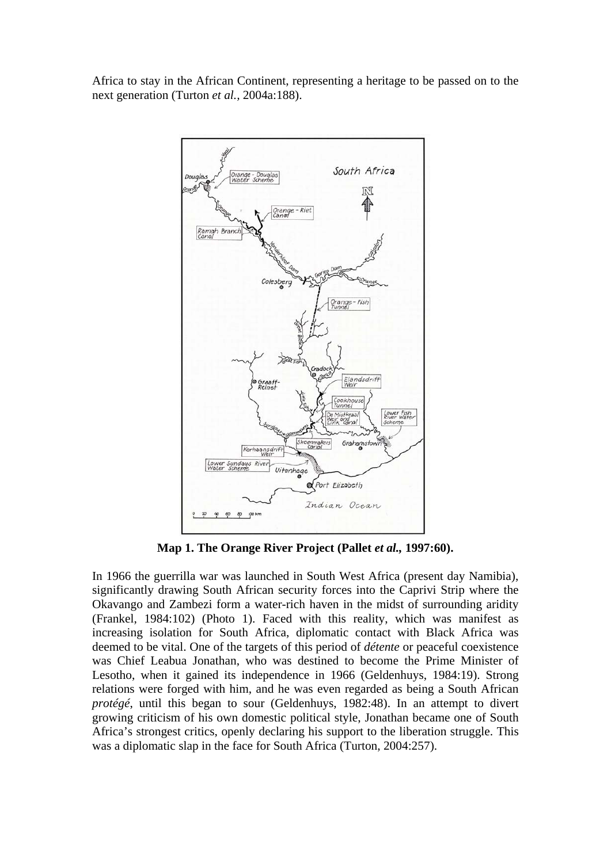Africa to stay in the African Continent, representing a heritage to be passed on to the next generation (Turton *et al.,* 2004a:188).



**Map 1. The Orange River Project (Pallet** *et al.,* **1997:60).** 

In 1966 the guerrilla war was launched in South West Africa (present day Namibia), significantly drawing South African security forces into the Caprivi Strip where the Okavango and Zambezi form a water-rich haven in the midst of surrounding aridity (Frankel, 1984:102) (Photo 1). Faced with this reality, which was manifest as increasing isolation for South Africa, diplomatic contact with Black Africa was deemed to be vital. One of the targets of this period of *détente* or peaceful coexistence was Chief Leabua Jonathan, who was destined to become the Prime Minister of Lesotho, when it gained its independence in 1966 (Geldenhuys, 1984:19). Strong relations were forged with him, and he was even regarded as being a South African *protégé*, until this began to sour (Geldenhuys, 1982:48). In an attempt to divert growing criticism of his own domestic political style, Jonathan became one of South Africa's strongest critics, openly declaring his support to the liberation struggle. This was a diplomatic slap in the face for South Africa (Turton, 2004:257).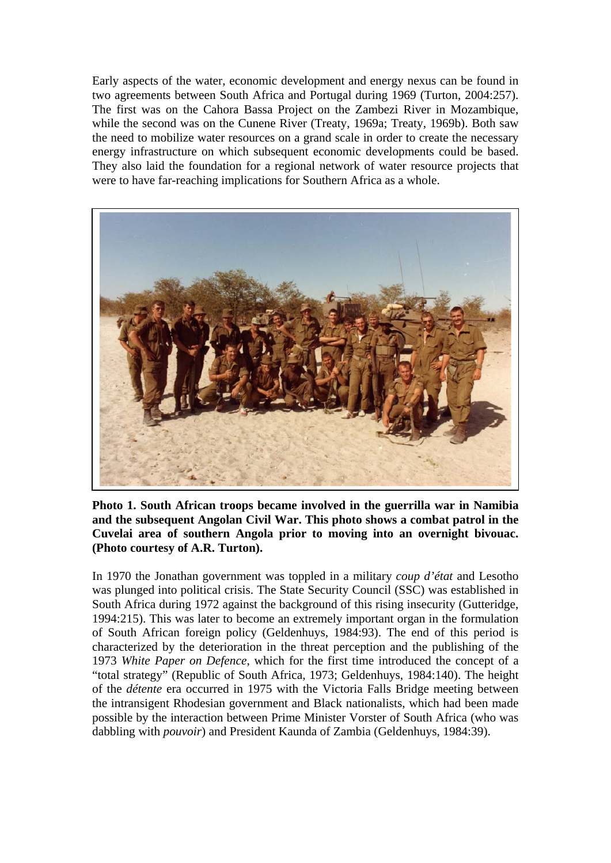Early aspects of the water, economic development and energy nexus can be found in two agreements between South Africa and Portugal during 1969 (Turton, 2004:257). The first was on the Cahora Bassa Project on the Zambezi River in Mozambique, while the second was on the Cunene River (Treaty, 1969a; Treaty, 1969b). Both saw the need to mobilize water resources on a grand scale in order to create the necessary energy infrastructure on which subsequent economic developments could be based. They also laid the foundation for a regional network of water resource projects that were to have far-reaching implications for Southern Africa as a whole.



**Photo 1. South African troops became involved in the guerrilla war in Namibia and the subsequent Angolan Civil War. This photo shows a combat patrol in the Cuvelai area of southern Angola prior to moving into an overnight bivouac. (Photo courtesy of A.R. Turton).** 

In 1970 the Jonathan government was toppled in a military *coup d'état* and Lesotho was plunged into political crisis. The State Security Council (SSC) was established in South Africa during 1972 against the background of this rising insecurity (Gutteridge, 1994:215). This was later to become an extremely important organ in the formulation of South African foreign policy (Geldenhuys, 1984:93). The end of this period is characterized by the deterioration in the threat perception and the publishing of the 1973 *White Paper on Defence*, which for the first time introduced the concept of a "total strategy" (Republic of South Africa, 1973; Geldenhuys, 1984:140). The height of the *détente* era occurred in 1975 with the Victoria Falls Bridge meeting between the intransigent Rhodesian government and Black nationalists, which had been made possible by the interaction between Prime Minister Vorster of South Africa (who was dabbling with *pouvoir*) and President Kaunda of Zambia (Geldenhuys, 1984:39).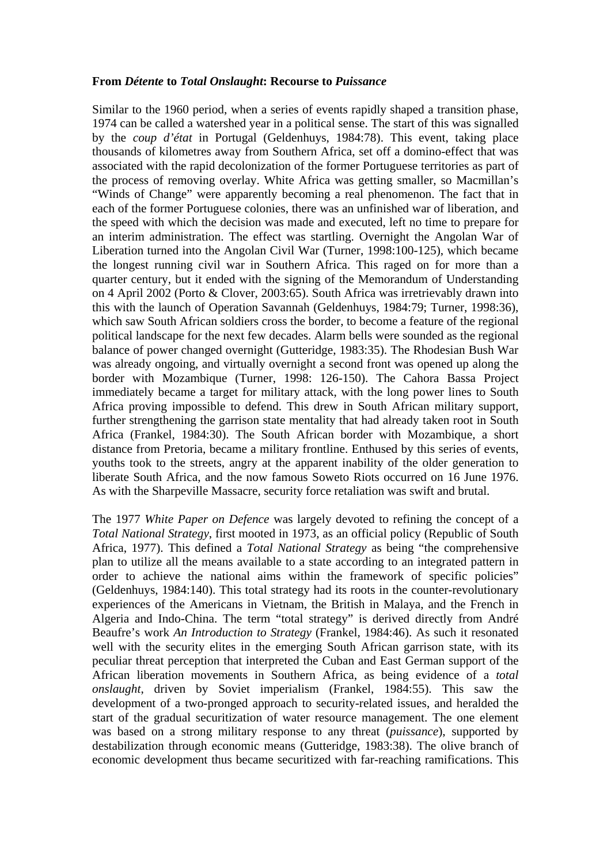#### **From** *Détente* **to** *Total Onslaught***: Recourse to** *Puissance*

Similar to the 1960 period, when a series of events rapidly shaped a transition phase, 1974 can be called a watershed year in a political sense. The start of this was signalled by the *coup d'état* in Portugal (Geldenhuys, 1984:78). This event, taking place thousands of kilometres away from Southern Africa, set off a domino-effect that was associated with the rapid decolonization of the former Portuguese territories as part of the process of removing overlay. White Africa was getting smaller, so Macmillan's "Winds of Change" were apparently becoming a real phenomenon. The fact that in each of the former Portuguese colonies, there was an unfinished war of liberation, and the speed with which the decision was made and executed, left no time to prepare for an interim administration. The effect was startling. Overnight the Angolan War of Liberation turned into the Angolan Civil War (Turner, 1998:100-125), which became the longest running civil war in Southern Africa. This raged on for more than a quarter century, but it ended with the signing of the Memorandum of Understanding on 4 April 2002 (Porto & Clover, 2003:65). South Africa was irretrievably drawn into this with the launch of Operation Savannah (Geldenhuys, 1984:79; Turner, 1998:36), which saw South African soldiers cross the border, to become a feature of the regional political landscape for the next few decades. Alarm bells were sounded as the regional balance of power changed overnight (Gutteridge, 1983:35). The Rhodesian Bush War was already ongoing, and virtually overnight a second front was opened up along the border with Mozambique (Turner, 1998: 126-150). The Cahora Bassa Project immediately became a target for military attack, with the long power lines to South Africa proving impossible to defend. This drew in South African military support, further strengthening the garrison state mentality that had already taken root in South Africa (Frankel, 1984:30). The South African border with Mozambique, a short distance from Pretoria, became a military frontline. Enthused by this series of events, youths took to the streets, angry at the apparent inability of the older generation to liberate South Africa, and the now famous Soweto Riots occurred on 16 June 1976. As with the Sharpeville Massacre, security force retaliation was swift and brutal.

The 1977 *White Paper on Defence* was largely devoted to refining the concept of a *Total National Strategy*, first mooted in 1973, as an official policy (Republic of South Africa, 1977). This defined a *Total National Strategy* as being "the comprehensive plan to utilize all the means available to a state according to an integrated pattern in order to achieve the national aims within the framework of specific policies" (Geldenhuys, 1984:140). This total strategy had its roots in the counter-revolutionary experiences of the Americans in Vietnam, the British in Malaya, and the French in Algeria and Indo-China. The term "total strategy" is derived directly from André Beaufre's work *An Introduction to Strategy* (Frankel, 1984:46). As such it resonated well with the security elites in the emerging South African garrison state, with its peculiar threat perception that interpreted the Cuban and East German support of the African liberation movements in Southern Africa, as being evidence of a *total onslaught*, driven by Soviet imperialism (Frankel, 1984:55). This saw the development of a two-pronged approach to security-related issues, and heralded the start of the gradual securitization of water resource management. The one element was based on a strong military response to any threat (*puissance*), supported by destabilization through economic means (Gutteridge, 1983:38). The olive branch of economic development thus became securitized with far-reaching ramifications. This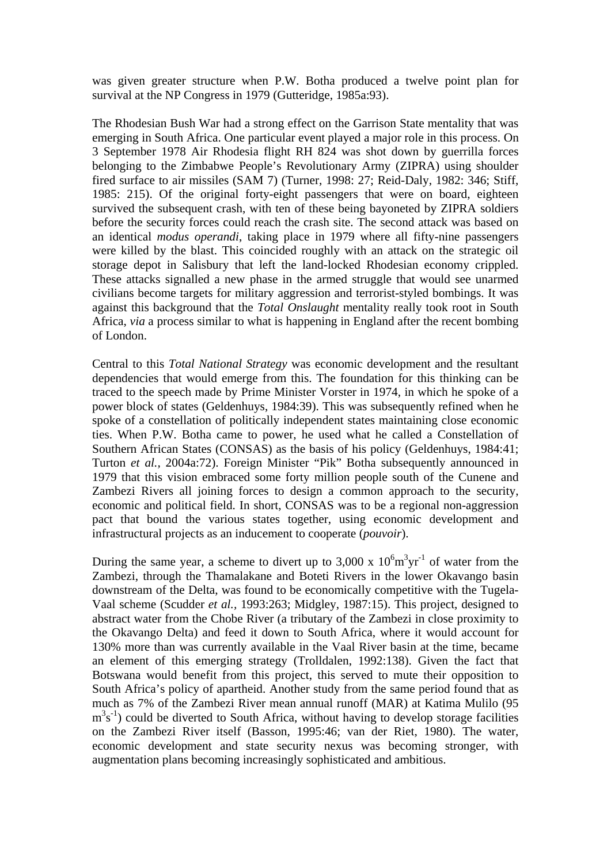was given greater structure when P.W. Botha produced a twelve point plan for survival at the NP Congress in 1979 (Gutteridge, 1985a:93).

The Rhodesian Bush War had a strong effect on the Garrison State mentality that was emerging in South Africa. One particular event played a major role in this process. On 3 September 1978 Air Rhodesia flight RH 824 was shot down by guerrilla forces belonging to the Zimbabwe People's Revolutionary Army (ZIPRA) using shoulder fired surface to air missiles (SAM 7) (Turner, 1998: 27; Reid-Daly, 1982: 346; Stiff, 1985: 215). Of the original forty-eight passengers that were on board, eighteen survived the subsequent crash, with ten of these being bayoneted by ZIPRA soldiers before the security forces could reach the crash site. The second attack was based on an identical *modus operandi*, taking place in 1979 where all fifty-nine passengers were killed by the blast. This coincided roughly with an attack on the strategic oil storage depot in Salisbury that left the land-locked Rhodesian economy crippled. These attacks signalled a new phase in the armed struggle that would see unarmed civilians become targets for military aggression and terrorist-styled bombings. It was against this background that the *Total Onslaught* mentality really took root in South Africa, *via* a process similar to what is happening in England after the recent bombing of London.

Central to this *Total National Strategy* was economic development and the resultant dependencies that would emerge from this. The foundation for this thinking can be traced to the speech made by Prime Minister Vorster in 1974, in which he spoke of a power block of states (Geldenhuys, 1984:39). This was subsequently refined when he spoke of a constellation of politically independent states maintaining close economic ties. When P.W. Botha came to power, he used what he called a Constellation of Southern African States (CONSAS) as the basis of his policy (Geldenhuys, 1984:41; Turton *et al.,* 2004a:72). Foreign Minister "Pik" Botha subsequently announced in 1979 that this vision embraced some forty million people south of the Cunene and Zambezi Rivers all joining forces to design a common approach to the security, economic and political field. In short, CONSAS was to be a regional non-aggression pact that bound the various states together, using economic development and infrastructural projects as an inducement to cooperate (*pouvoir*).

During the same year, a scheme to divert up to  $3,000 \times 10^{6} \text{m}^{3} \text{yr}^{1}$  of water from the Zambezi, through the Thamalakane and Boteti Rivers in the lower Okavango basin downstream of the Delta, was found to be economically competitive with the Tugela-Vaal scheme (Scudder *et al.,* 1993:263; Midgley, 1987:15). This project, designed to abstract water from the Chobe River (a tributary of the Zambezi in close proximity to the Okavango Delta) and feed it down to South Africa, where it would account for 130% more than was currently available in the Vaal River basin at the time, became an element of this emerging strategy (Trolldalen, 1992:138). Given the fact that Botswana would benefit from this project, this served to mute their opposition to South Africa's policy of apartheid. Another study from the same period found that as much as 7% of the Zambezi River mean annual runoff (MAR) at Katima Mulilo (95  $\text{m}^3\text{s}^{-1}$ ) could be diverted to South Africa, without having to develop storage facilities on the Zambezi River itself (Basson, 1995:46; van der Riet, 1980). The water, economic development and state security nexus was becoming stronger, with augmentation plans becoming increasingly sophisticated and ambitious.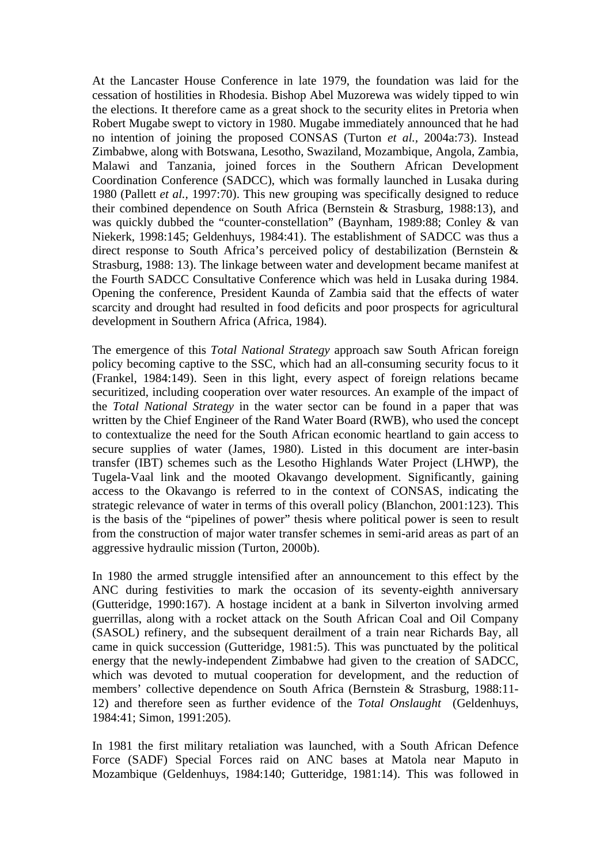At the Lancaster House Conference in late 1979, the foundation was laid for the cessation of hostilities in Rhodesia. Bishop Abel Muzorewa was widely tipped to win the elections. It therefore came as a great shock to the security elites in Pretoria when Robert Mugabe swept to victory in 1980. Mugabe immediately announced that he had no intention of joining the proposed CONSAS (Turton *et al.,* 2004a:73). Instead Zimbabwe, along with Botswana, Lesotho, Swaziland, Mozambique, Angola, Zambia, Malawi and Tanzania, joined forces in the Southern African Development Coordination Conference (SADCC), which was formally launched in Lusaka during 1980 (Pallett *et al.,* 1997:70). This new grouping was specifically designed to reduce their combined dependence on South Africa (Bernstein & Strasburg, 1988:13), and was quickly dubbed the "counter-constellation" (Baynham, 1989:88; Conley & van Niekerk, 1998:145; Geldenhuys, 1984:41). The establishment of SADCC was thus a direct response to South Africa's perceived policy of destabilization (Bernstein & Strasburg, 1988: 13). The linkage between water and development became manifest at the Fourth SADCC Consultative Conference which was held in Lusaka during 1984. Opening the conference, President Kaunda of Zambia said that the effects of water scarcity and drought had resulted in food deficits and poor prospects for agricultural development in Southern Africa (Africa, 1984).

The emergence of this *Total National Strategy* approach saw South African foreign policy becoming captive to the SSC, which had an all-consuming security focus to it (Frankel, 1984:149). Seen in this light, every aspect of foreign relations became securitized, including cooperation over water resources. An example of the impact of the *Total National Strategy* in the water sector can be found in a paper that was written by the Chief Engineer of the Rand Water Board (RWB), who used the concept to contextualize the need for the South African economic heartland to gain access to secure supplies of water (James, 1980). Listed in this document are inter-basin transfer (IBT) schemes such as the Lesotho Highlands Water Project (LHWP), the Tugela-Vaal link and the mooted Okavango development. Significantly, gaining access to the Okavango is referred to in the context of CONSAS, indicating the strategic relevance of water in terms of this overall policy (Blanchon, 2001:123). This is the basis of the "pipelines of power" thesis where political power is seen to result from the construction of major water transfer schemes in semi-arid areas as part of an aggressive hydraulic mission (Turton, 2000b).

In 1980 the armed struggle intensified after an announcement to this effect by the ANC during festivities to mark the occasion of its seventy-eighth anniversary (Gutteridge, 1990:167). A hostage incident at a bank in Silverton involving armed guerrillas, along with a rocket attack on the South African Coal and Oil Company (SASOL) refinery, and the subsequent derailment of a train near Richards Bay, all came in quick succession (Gutteridge, 1981:5). This was punctuated by the political energy that the newly-independent Zimbabwe had given to the creation of SADCC, which was devoted to mutual cooperation for development, and the reduction of members' collective dependence on South Africa (Bernstein & Strasburg, 1988:11- 12) and therefore seen as further evidence of the *Total Onslaught* (Geldenhuys, 1984:41; Simon, 1991:205).

In 1981 the first military retaliation was launched, with a South African Defence Force (SADF) Special Forces raid on ANC bases at Matola near Maputo in Mozambique (Geldenhuys, 1984:140; Gutteridge, 1981:14). This was followed in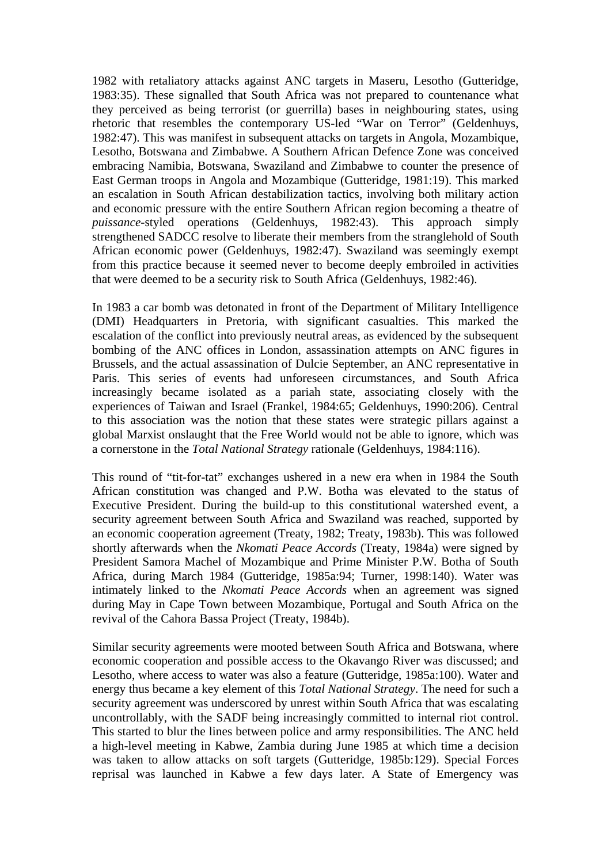1982 with retaliatory attacks against ANC targets in Maseru, Lesotho (Gutteridge, 1983:35). These signalled that South Africa was not prepared to countenance what they perceived as being terrorist (or guerrilla) bases in neighbouring states, using rhetoric that resembles the contemporary US-led "War on Terror" (Geldenhuys, 1982:47). This was manifest in subsequent attacks on targets in Angola, Mozambique, Lesotho, Botswana and Zimbabwe. A Southern African Defence Zone was conceived embracing Namibia, Botswana, Swaziland and Zimbabwe to counter the presence of East German troops in Angola and Mozambique (Gutteridge, 1981:19). This marked an escalation in South African destabilization tactics, involving both military action and economic pressure with the entire Southern African region becoming a theatre of *puissance*-styled operations (Geldenhuys, 1982:43). This approach simply strengthened SADCC resolve to liberate their members from the stranglehold of South African economic power (Geldenhuys, 1982:47). Swaziland was seemingly exempt from this practice because it seemed never to become deeply embroiled in activities that were deemed to be a security risk to South Africa (Geldenhuys, 1982:46).

In 1983 a car bomb was detonated in front of the Department of Military Intelligence (DMI) Headquarters in Pretoria, with significant casualties. This marked the escalation of the conflict into previously neutral areas, as evidenced by the subsequent bombing of the ANC offices in London, assassination attempts on ANC figures in Brussels, and the actual assassination of Dulcie September, an ANC representative in Paris. This series of events had unforeseen circumstances, and South Africa increasingly became isolated as a pariah state, associating closely with the experiences of Taiwan and Israel (Frankel, 1984:65; Geldenhuys, 1990:206). Central to this association was the notion that these states were strategic pillars against a global Marxist onslaught that the Free World would not be able to ignore, which was a cornerstone in the *Total National Strategy* rationale (Geldenhuys, 1984:116).

This round of "tit-for-tat" exchanges ushered in a new era when in 1984 the South African constitution was changed and P.W. Botha was elevated to the status of Executive President. During the build-up to this constitutional watershed event, a security agreement between South Africa and Swaziland was reached, supported by an economic cooperation agreement (Treaty, 1982; Treaty, 1983b). This was followed shortly afterwards when the *Nkomati Peace Accords* (Treaty, 1984a) were signed by President Samora Machel of Mozambique and Prime Minister P.W. Botha of South Africa, during March 1984 (Gutteridge, 1985a:94; Turner, 1998:140). Water was intimately linked to the *Nkomati Peace Accords* when an agreement was signed during May in Cape Town between Mozambique, Portugal and South Africa on the revival of the Cahora Bassa Project (Treaty, 1984b).

Similar security agreements were mooted between South Africa and Botswana, where economic cooperation and possible access to the Okavango River was discussed; and Lesotho, where access to water was also a feature (Gutteridge, 1985a:100). Water and energy thus became a key element of this *Total National Strategy*. The need for such a security agreement was underscored by unrest within South Africa that was escalating uncontrollably, with the SADF being increasingly committed to internal riot control. This started to blur the lines between police and army responsibilities. The ANC held a high-level meeting in Kabwe, Zambia during June 1985 at which time a decision was taken to allow attacks on soft targets (Gutteridge, 1985b:129). Special Forces reprisal was launched in Kabwe a few days later. A State of Emergency was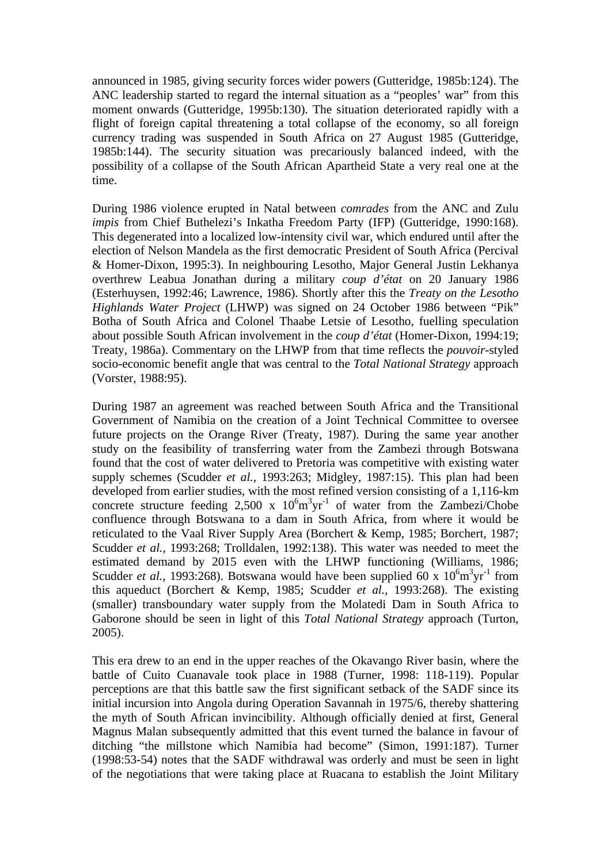announced in 1985, giving security forces wider powers (Gutteridge, 1985b:124). The ANC leadership started to regard the internal situation as a "peoples' war" from this moment onwards (Gutteridge, 1995b:130). The situation deteriorated rapidly with a flight of foreign capital threatening a total collapse of the economy, so all foreign currency trading was suspended in South Africa on 27 August 1985 (Gutteridge, 1985b:144). The security situation was precariously balanced indeed, with the possibility of a collapse of the South African Apartheid State a very real one at the time.

During 1986 violence erupted in Natal between *comrades* from the ANC and Zulu *impis* from Chief Buthelezi's Inkatha Freedom Party (IFP) (Gutteridge, 1990:168). This degenerated into a localized low-intensity civil war, which endured until after the election of Nelson Mandela as the first democratic President of South Africa (Percival & Homer-Dixon, 1995:3). In neighbouring Lesotho, Major General Justin Lekhanya overthrew Leabua Jonathan during a military *coup d'état* on 20 January 1986 (Esterhuysen, 1992:46; Lawrence, 1986). Shortly after this the *Treaty on the Lesotho Highlands Water Project* (LHWP) was signed on 24 October 1986 between "Pik" Botha of South Africa and Colonel Thaabe Letsie of Lesotho, fuelling speculation about possible South African involvement in the *coup d'état* (Homer-Dixon, 1994:19; Treaty, 1986a). Commentary on the LHWP from that time reflects the *pouvoir*-styled socio-economic benefit angle that was central to the *Total National Strategy* approach (Vorster, 1988:95).

During 1987 an agreement was reached between South Africa and the Transitional Government of Namibia on the creation of a Joint Technical Committee to oversee future projects on the Orange River (Treaty, 1987). During the same year another study on the feasibility of transferring water from the Zambezi through Botswana found that the cost of water delivered to Pretoria was competitive with existing water supply schemes (Scudder *et al.,* 1993:263; Midgley, 1987:15). This plan had been developed from earlier studies, with the most refined version consisting of a 1,116-km concrete structure feeding 2,500 x  $10^6 \text{m}^3 \text{yr}^{-1}$  of water from the Zambezi/Chobe confluence through Botswana to a dam in South Africa, from where it would be reticulated to the Vaal River Supply Area (Borchert & Kemp, 1985; Borchert, 1987; Scudder *et al.,* 1993:268; Trolldalen, 1992:138). This water was needed to meet the estimated demand by 2015 even with the LHWP functioning (Williams, 1986; Scudder *et al.*, 1993:268). Botswana would have been supplied  $\frac{60 \times 10^6 \text{m}^3 \text{yr}^{-1}}{25}$  from this aqueduct (Borchert & Kemp, 1985; Scudder *et al.,* 1993:268). The existing (smaller) transboundary water supply from the Molatedi Dam in South Africa to Gaborone should be seen in light of this *Total National Strategy* approach (Turton, 2005).

This era drew to an end in the upper reaches of the Okavango River basin, where the battle of Cuito Cuanavale took place in 1988 (Turner, 1998: 118-119). Popular perceptions are that this battle saw the first significant setback of the SADF since its initial incursion into Angola during Operation Savannah in 1975/6, thereby shattering the myth of South African invincibility. Although officially denied at first, General Magnus Malan subsequently admitted that this event turned the balance in favour of ditching "the millstone which Namibia had become" (Simon, 1991:187). Turner (1998:53-54) notes that the SADF withdrawal was orderly and must be seen in light of the negotiations that were taking place at Ruacana to establish the Joint Military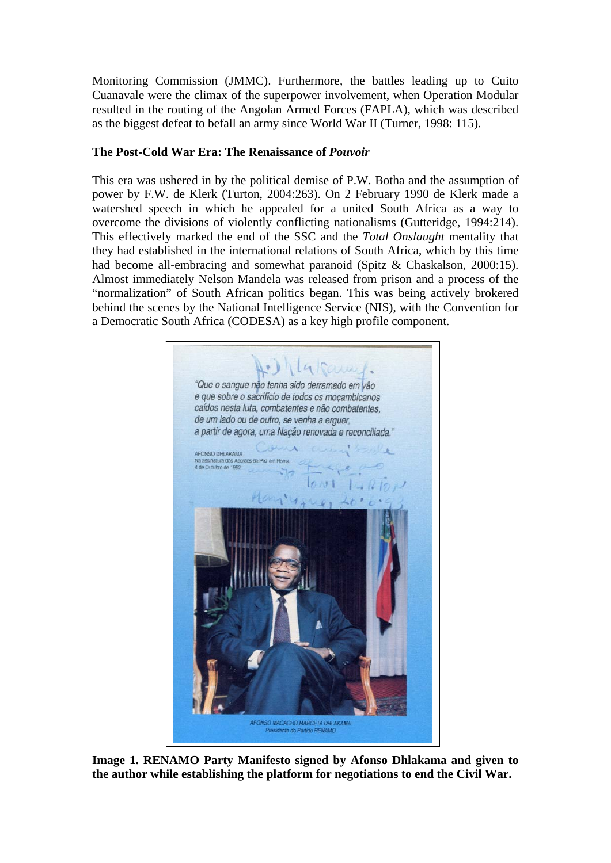Monitoring Commission (JMMC). Furthermore, the battles leading up to Cuito Cuanavale were the climax of the superpower involvement, when Operation Modular resulted in the routing of the Angolan Armed Forces (FAPLA), which was described as the biggest defeat to befall an army since World War II (Turner, 1998: 115).

# **The Post-Cold War Era: The Renaissance of** *Pouvoir*

This era was ushered in by the political demise of P.W. Botha and the assumption of power by F.W. de Klerk (Turton, 2004:263). On 2 February 1990 de Klerk made a watershed speech in which he appealed for a united South Africa as a way to overcome the divisions of violently conflicting nationalisms (Gutteridge, 1994:214). This effectively marked the end of the SSC and the *Total Onslaught* mentality that they had established in the international relations of South Africa, which by this time had become all-embracing and somewhat paranoid (Spitz & Chaskalson, 2000:15). Almost immediately Nelson Mandela was released from prison and a process of the "normalization" of South African politics began. This was being actively brokered behind the scenes by the National Intelligence Service (NIS), with the Convention for a Democratic South Africa (CODESA) as a key high profile component.



**Image 1. RENAMO Party Manifesto signed by Afonso Dhlakama and given to the author while establishing the platform for negotiations to end the Civil War.**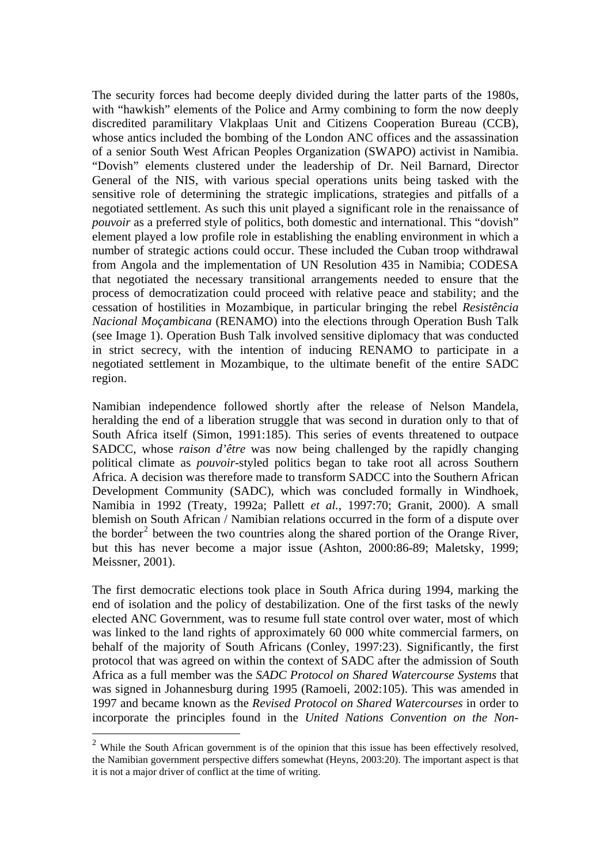The security forces had become deeply divided during the latter parts of the 1980s, with "hawkish" elements of the Police and Army combining to form the now deeply discredited paramilitary Vlakplaas Unit and Citizens Cooperation Bureau (CCB), whose antics included the bombing of the London ANC offices and the assassination of a senior South West African Peoples Organization (SWAPO) activist in Namibia. "Dovish" elements clustered under the leadership of Dr. Neil Barnard, Director General of the NIS, with various special operations units being tasked with the sensitive role of determining the strategic implications, strategies and pitfalls of a negotiated settlement. As such this unit played a significant role in the renaissance of *pouvoir* as a preferred style of politics, both domestic and international. This "dovish" element played a low profile role in establishing the enabling environment in which a number of strategic actions could occur. These included the Cuban troop withdrawal from Angola and the implementation of UN Resolution 435 in Namibia; CODESA that negotiated the necessary transitional arrangements needed to ensure that the process of democratization could proceed with relative peace and stability; and the cessation of hostilities in Mozambique, in particular bringing the rebel *Resistência Nacional Moçambicana* (RENAMO) into the elections through Operation Bush Talk (see Image 1). Operation Bush Talk involved sensitive diplomacy that was conducted in strict secrecy, with the intention of inducing RENAMO to participate in a negotiated settlement in Mozambique, to the ultimate benefit of the entire SADC region.

Namibian independence followed shortly after the release of Nelson Mandela, heralding the end of a liberation struggle that was second in duration only to that of South Africa itself (Simon, 1991:185). This series of events threatened to outpace SADCC, whose *raison d'être* was now being challenged by the rapidly changing political climate as *pouvoir*-styled politics began to take root all across Southern Africa. A decision was therefore made to transform SADCC into the Southern African Development Community (SADC), which was concluded formally in Windhoek, Namibia in 1992 (Treaty, 1992a; Pallett *et al.,* 1997:70; Granit, 2000). A small blemish on South African / Namibian relations occurred in the form of a dispute over the border<sup>[2](#page-12-0)</sup> between the two countries along the shared portion of the Orange River, but this has never become a major issue (Ashton, 2000:86-89; Maletsky, 1999; Meissner, 2001).

The first democratic elections took place in South Africa during 1994, marking the end of isolation and the policy of destabilization. One of the first tasks of the newly elected ANC Government, was to resume full state control over water, most of which was linked to the land rights of approximately 60 000 white commercial farmers, on behalf of the majority of South Africans (Conley, 1997:23). Significantly, the first protocol that was agreed on within the context of SADC after the admission of South Africa as a full member was the *SADC Protocol on Shared Watercourse Systems* that was signed in Johannesburg during 1995 (Ramoeli, 2002:105). This was amended in 1997 and became known as the *Revised Protocol on Shared Watercourses* in order to incorporate the principles found in the *United Nations Convention on the Non-*

 $\overline{a}$ 

<span id="page-12-0"></span> $2$  While the South African government is of the opinion that this issue has been effectively resolved, the Namibian government perspective differs somewhat (Heyns, 2003:20). The important aspect is that it is not a major driver of conflict at the time of writing.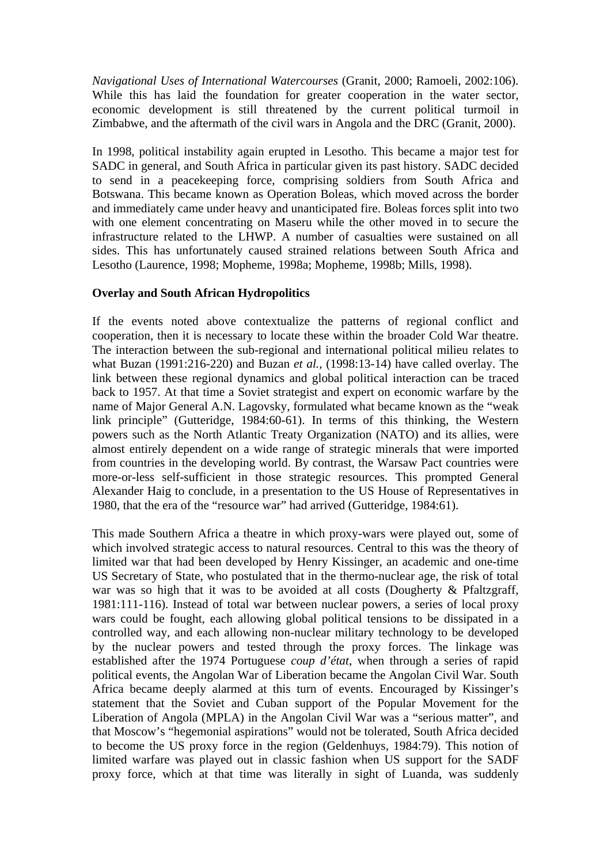*Navigational Uses of International Watercourses* (Granit, 2000; Ramoeli, 2002:106). While this has laid the foundation for greater cooperation in the water sector, economic development is still threatened by the current political turmoil in Zimbabwe, and the aftermath of the civil wars in Angola and the DRC (Granit, 2000).

In 1998, political instability again erupted in Lesotho. This became a major test for SADC in general, and South Africa in particular given its past history. SADC decided to send in a peacekeeping force, comprising soldiers from South Africa and Botswana. This became known as Operation Boleas, which moved across the border and immediately came under heavy and unanticipated fire. Boleas forces split into two with one element concentrating on Maseru while the other moved in to secure the infrastructure related to the LHWP. A number of casualties were sustained on all sides. This has unfortunately caused strained relations between South Africa and Lesotho (Laurence, 1998; Mopheme, 1998a; Mopheme, 1998b; Mills, 1998).

# **Overlay and South African Hydropolitics**

If the events noted above contextualize the patterns of regional conflict and cooperation, then it is necessary to locate these within the broader Cold War theatre. The interaction between the sub-regional and international political milieu relates to what Buzan (1991:216-220) and Buzan *et al.,* (1998:13-14) have called overlay. The link between these regional dynamics and global political interaction can be traced back to 1957. At that time a Soviet strategist and expert on economic warfare by the name of Major General A.N. Lagovsky, formulated what became known as the "weak link principle" (Gutteridge, 1984:60-61). In terms of this thinking, the Western powers such as the North Atlantic Treaty Organization (NATO) and its allies, were almost entirely dependent on a wide range of strategic minerals that were imported from countries in the developing world. By contrast, the Warsaw Pact countries were more-or-less self-sufficient in those strategic resources. This prompted General Alexander Haig to conclude, in a presentation to the US House of Representatives in 1980, that the era of the "resource war" had arrived (Gutteridge, 1984:61).

This made Southern Africa a theatre in which proxy-wars were played out, some of which involved strategic access to natural resources. Central to this was the theory of limited war that had been developed by Henry Kissinger, an academic and one-time US Secretary of State, who postulated that in the thermo-nuclear age, the risk of total war was so high that it was to be avoided at all costs (Dougherty & Pfaltzgraff, 1981:111-116). Instead of total war between nuclear powers, a series of local proxy wars could be fought, each allowing global political tensions to be dissipated in a controlled way, and each allowing non-nuclear military technology to be developed by the nuclear powers and tested through the proxy forces. The linkage was established after the 1974 Portuguese *coup d'état*, when through a series of rapid political events, the Angolan War of Liberation became the Angolan Civil War. South Africa became deeply alarmed at this turn of events. Encouraged by Kissinger's statement that the Soviet and Cuban support of the Popular Movement for the Liberation of Angola (MPLA) in the Angolan Civil War was a "serious matter", and that Moscow's "hegemonial aspirations" would not be tolerated, South Africa decided to become the US proxy force in the region (Geldenhuys, 1984:79). This notion of limited warfare was played out in classic fashion when US support for the SADF proxy force, which at that time was literally in sight of Luanda, was suddenly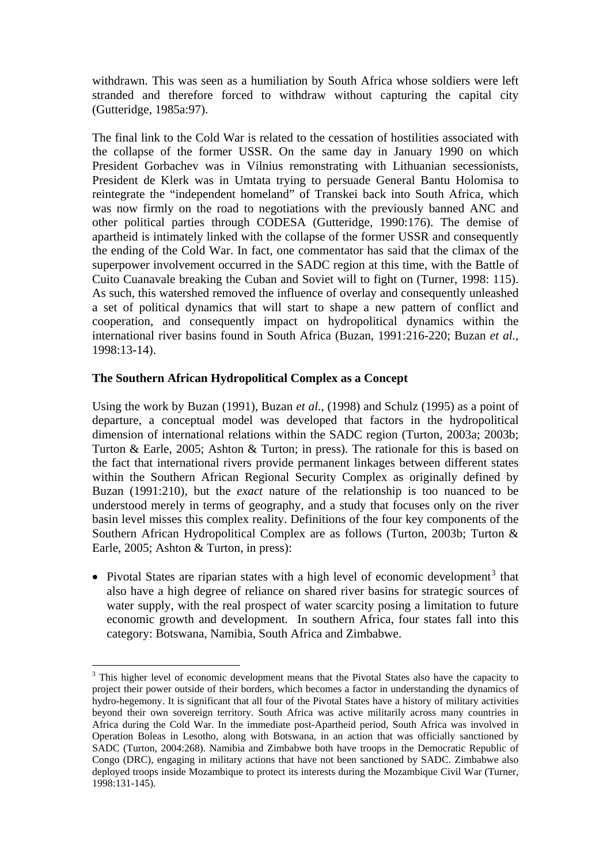withdrawn. This was seen as a humiliation by South Africa whose soldiers were left stranded and therefore forced to withdraw without capturing the capital city (Gutteridge, 1985a:97).

The final link to the Cold War is related to the cessation of hostilities associated with the collapse of the former USSR. On the same day in January 1990 on which President Gorbachev was in Vilnius remonstrating with Lithuanian secessionists, President de Klerk was in Umtata trying to persuade General Bantu Holomisa to reintegrate the "independent homeland" of Transkei back into South Africa, which was now firmly on the road to negotiations with the previously banned ANC and other political parties through CODESA (Gutteridge, 1990:176). The demise of apartheid is intimately linked with the collapse of the former USSR and consequently the ending of the Cold War. In fact, one commentator has said that the climax of the superpower involvement occurred in the SADC region at this time, with the Battle of Cuito Cuanavale breaking the Cuban and Soviet will to fight on (Turner, 1998: 115). As such, this watershed removed the influence of overlay and consequently unleashed a set of political dynamics that will start to shape a new pattern of conflict and cooperation, and consequently impact on hydropolitical dynamics within the international river basins found in South Africa (Buzan, 1991:216-220; Buzan *et al.,* 1998:13-14).

# **The Southern African Hydropolitical Complex as a Concept**

 $\overline{a}$ 

Using the work by Buzan (1991), Buzan *et al.,* (1998) and Schulz (1995) as a point of departure, a conceptual model was developed that factors in the hydropolitical dimension of international relations within the SADC region (Turton, 2003a; 2003b; Turton & Earle, 2005; Ashton & Turton; in press). The rationale for this is based on the fact that international rivers provide permanent linkages between different states within the Southern African Regional Security Complex as originally defined by Buzan (1991:210), but the *exact* nature of the relationship is too nuanced to be understood merely in terms of geography, and a study that focuses only on the river basin level misses this complex reality. Definitions of the four key components of the Southern African Hydropolitical Complex are as follows (Turton, 2003b; Turton & Earle, 2005; Ashton & Turton, in press):

• Pivotal States are riparian states with a high level of economic development<sup>[3](#page-14-0)</sup> that also have a high degree of reliance on shared river basins for strategic sources of water supply, with the real prospect of water scarcity posing a limitation to future economic growth and development. In southern Africa, four states fall into this category: Botswana, Namibia, South Africa and Zimbabwe.

<span id="page-14-0"></span> $3$  This higher level of economic development means that the Pivotal States also have the capacity to project their power outside of their borders, which becomes a factor in understanding the dynamics of hydro-hegemony. It is significant that all four of the Pivotal States have a history of military activities beyond their own sovereign territory. South Africa was active militarily across many countries in Africa during the Cold War. In the immediate post-Apartheid period, South Africa was involved in Operation Boleas in Lesotho, along with Botswana, in an action that was officially sanctioned by SADC (Turton, 2004:268). Namibia and Zimbabwe both have troops in the Democratic Republic of Congo (DRC), engaging in military actions that have not been sanctioned by SADC. Zimbabwe also deployed troops inside Mozambique to protect its interests during the Mozambique Civil War (Turner, 1998:131-145).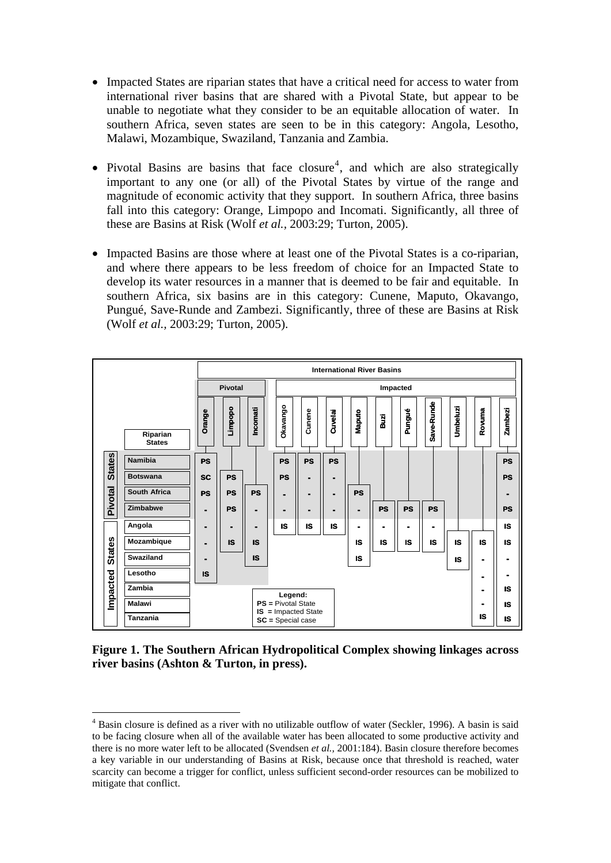- Impacted States are riparian states that have a critical need for access to water from international river basins that are shared with a Pivotal State, but appear to be unable to negotiate what they consider to be an equitable allocation of water. In southern Africa, seven states are seen to be in this category: Angola, Lesotho, Malawi, Mozambique, Swaziland, Tanzania and Zambia.
- Pivotal Basins are basins that face closure<sup>[4](#page-15-0)</sup>, and which are also strategically important to any one (or all) of the Pivotal States by virtue of the range and magnitude of economic activity that they support. In southern Africa, three basins fall into this category: Orange, Limpopo and Incomati. Significantly, all three of these are Basins at Risk (Wolf *et al.,* 2003:29; Turton, 2005).
- Impacted Basins are those where at least one of the Pivotal States is a co-riparian, and where there appears to be less freedom of choice for an Impacted State to develop its water resources in a manner that is deemed to be fair and equitable. In southern Africa, six basins are in this category: Cunene, Maputo, Okavango, Pungué, Save-Runde and Zambezi. Significantly, three of these are Basins at Risk (Wolf *et al.,* 2003:29; Turton, 2005).



**Figure 1. The Southern African Hydropolitical Complex showing linkages across river basins (Ashton & Turton, in press).** 

<span id="page-15-0"></span> $\overline{a}$ <sup>4</sup> Basin closure is defined as a river with no utilizable outflow of water (Seckler, 1996). A basin is said to be facing closure when all of the available water has been allocated to some productive activity and there is no more water left to be allocated (Svendsen *et al.,* 2001:184). Basin closure therefore becomes a key variable in our understanding of Basins at Risk, because once that threshold is reached, water scarcity can become a trigger for conflict, unless sufficient second-order resources can be mobilized to mitigate that conflict.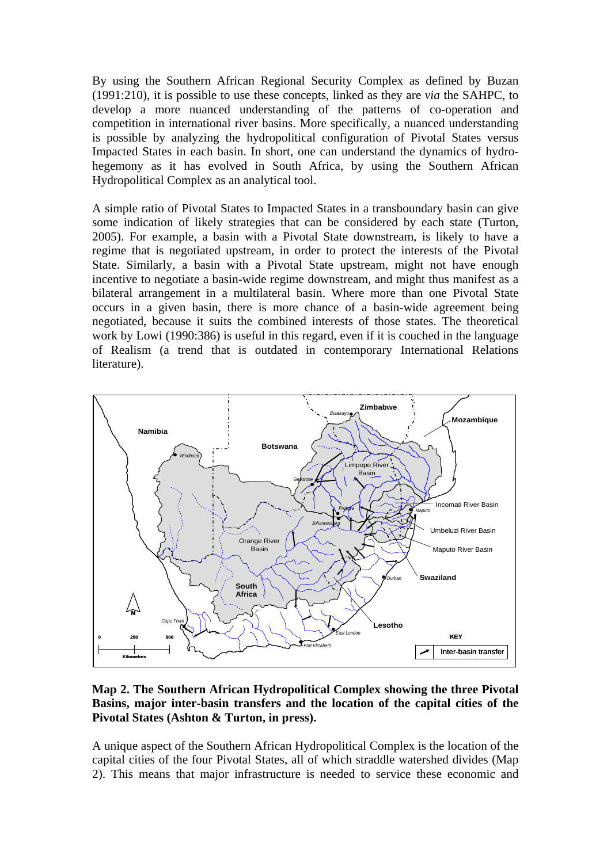By using the Southern African Regional Security Complex as defined by Buzan (1991:210), it is possible to use these concepts, linked as they are *via* the SAHPC, to develop a more nuanced understanding of the patterns of co-operation and competition in international river basins. More specifically, a nuanced understanding is possible by analyzing the hydropolitical configuration of Pivotal States versus Impacted States in each basin. In short, one can understand the dynamics of hydrohegemony as it has evolved in South Africa, by using the Southern African Hydropolitical Complex as an analytical tool.

A simple ratio of Pivotal States to Impacted States in a transboundary basin can give some indication of likely strategies that can be considered by each state (Turton, 2005). For example, a basin with a Pivotal State downstream, is likely to have a regime that is negotiated upstream, in order to protect the interests of the Pivotal State. Similarly, a basin with a Pivotal State upstream, might not have enough incentive to negotiate a basin-wide regime downstream, and might thus manifest as a bilateral arrangement in a multilateral basin. Where more than one Pivotal State occurs in a given basin, there is more chance of a basin-wide agreement being negotiated, because it suits the combined interests of those states. The theoretical work by Lowi (1990:386) is useful in this regard, even if it is couched in the language of Realism (a trend that is outdated in contemporary International Relations literature).



**Map 2. The Southern African Hydropolitical Complex showing the three Pivotal Basins, major inter-basin transfers and the location of the capital cities of the Pivotal States (Ashton & Turton, in press).** 

A unique aspect of the Southern African Hydropolitical Complex is the location of the capital cities of the four Pivotal States, all of which straddle watershed divides (Map 2). This means that major infrastructure is needed to service these economic and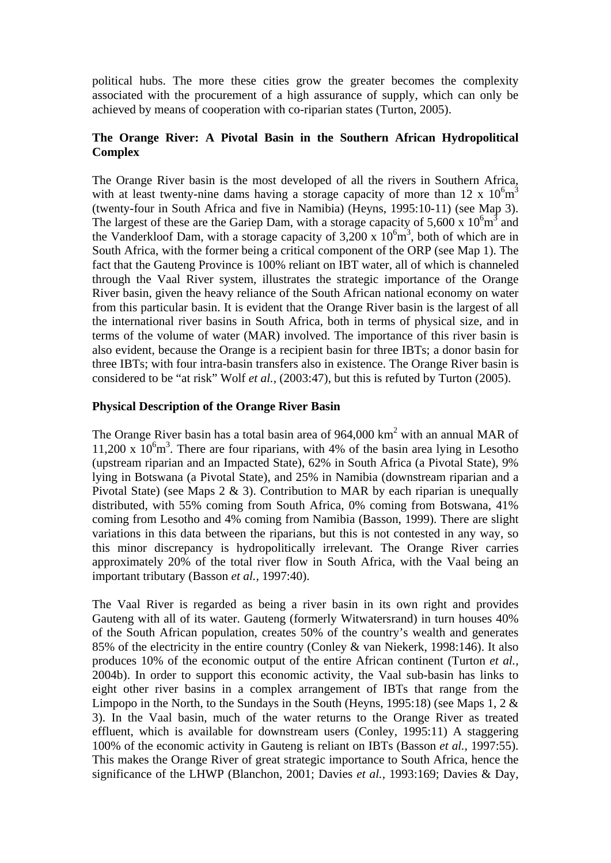political hubs. The more these cities grow the greater becomes the complexity associated with the procurement of a high assurance of supply, which can only be achieved by means of cooperation with co-riparian states (Turton, 2005).

# **The Orange River: A Pivotal Basin in the Southern African Hydropolitical Complex**

The Orange River basin is the most developed of all the rivers in Southern Africa, with at least twenty-nine dams having a storage capacity of more than  $12 \times 10^6$ m<sup>3</sup> (twenty-four in South Africa and five in Namibia) (Heyns, 1995:10-11) (see Map 3). The largest of these are the Gariep Dam, with a storage capacity of 5,600 x  $10^{6}$ m<sup>3</sup> and the Vanderkloof Dam, with a storage capacity of  $3,200 \times 10^{6} \text{m}^3$ , both of which are in South Africa, with the former being a critical component of the ORP (see Map 1). The fact that the Gauteng Province is 100% reliant on IBT water, all of which is channeled through the Vaal River system, illustrates the strategic importance of the Orange River basin, given the heavy reliance of the South African national economy on water from this particular basin. It is evident that the Orange River basin is the largest of all the international river basins in South Africa, both in terms of physical size, and in terms of the volume of water (MAR) involved. The importance of this river basin is also evident, because the Orange is a recipient basin for three IBTs; a donor basin for three IBTs; with four intra-basin transfers also in existence. The Orange River basin is considered to be "at risk" Wolf *et al.,* (2003:47), but this is refuted by Turton (2005).

# **Physical Description of the Orange River Basin**

The Orange River basin has a total basin area of  $964,000 \text{ km}^2$  with an annual MAR of 11,200 x  $10^6$ m<sup>3</sup>. There are four riparians, with 4% of the basin area lying in Lesotho (upstream riparian and an Impacted State), 62% in South Africa (a Pivotal State), 9% lying in Botswana (a Pivotal State), and 25% in Namibia (downstream riparian and a Pivotal State) (see Maps  $2 \& 3$ ). Contribution to MAR by each riparian is unequally distributed, with 55% coming from South Africa, 0% coming from Botswana, 41% coming from Lesotho and 4% coming from Namibia (Basson, 1999). There are slight variations in this data between the riparians, but this is not contested in any way, so this minor discrepancy is hydropolitically irrelevant. The Orange River carries approximately 20% of the total river flow in South Africa, with the Vaal being an important tributary (Basson *et al.,* 1997:40).

The Vaal River is regarded as being a river basin in its own right and provides Gauteng with all of its water. Gauteng (formerly Witwatersrand) in turn houses 40% of the South African population, creates 50% of the country's wealth and generates 85% of the electricity in the entire country (Conley & van Niekerk, 1998:146). It also produces 10% of the economic output of the entire African continent (Turton *et al.,* 2004b). In order to support this economic activity, the Vaal sub-basin has links to eight other river basins in a complex arrangement of IBTs that range from the Limpopo in the North, to the Sundays in the South (Heyns, 1995:18) (see Maps 1, 2 & 3). In the Vaal basin, much of the water returns to the Orange River as treated effluent, which is available for downstream users (Conley, 1995:11) A staggering 100% of the economic activity in Gauteng is reliant on IBTs (Basson *et al.,* 1997:55). This makes the Orange River of great strategic importance to South Africa, hence the significance of the LHWP (Blanchon, 2001; Davies *et al.,* 1993:169; Davies & Day,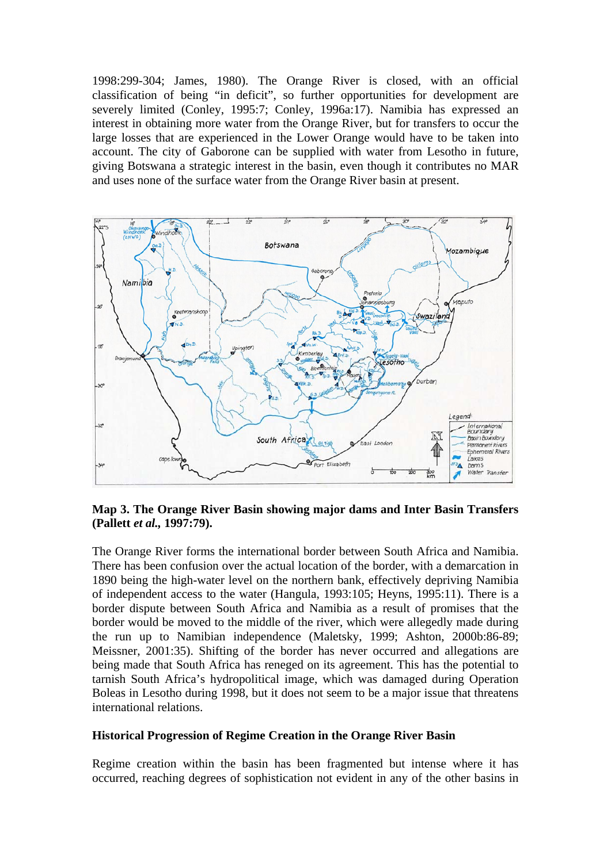1998:299-304; James, 1980). The Orange River is closed, with an official classification of being "in deficit", so further opportunities for development are severely limited (Conley, 1995:7; Conley, 1996a:17). Namibia has expressed an interest in obtaining more water from the Orange River, but for transfers to occur the large losses that are experienced in the Lower Orange would have to be taken into account. The city of Gaborone can be supplied with water from Lesotho in future, giving Botswana a strategic interest in the basin, even though it contributes no MAR and uses none of the surface water from the Orange River basin at present.



**Map 3. The Orange River Basin showing major dams and Inter Basin Transfers (Pallett** *et al.,* **1997:79).** 

The Orange River forms the international border between South Africa and Namibia. There has been confusion over the actual location of the border, with a demarcation in 1890 being the high-water level on the northern bank, effectively depriving Namibia of independent access to the water (Hangula, 1993:105; Heyns, 1995:11). There is a border dispute between South Africa and Namibia as a result of promises that the border would be moved to the middle of the river, which were allegedly made during the run up to Namibian independence (Maletsky, 1999; Ashton, 2000b:86-89; Meissner, 2001:35). Shifting of the border has never occurred and allegations are being made that South Africa has reneged on its agreement. This has the potential to tarnish South Africa's hydropolitical image, which was damaged during Operation Boleas in Lesotho during 1998, but it does not seem to be a major issue that threatens international relations.

## **Historical Progression of Regime Creation in the Orange River Basin**

Regime creation within the basin has been fragmented but intense where it has occurred, reaching degrees of sophistication not evident in any of the other basins in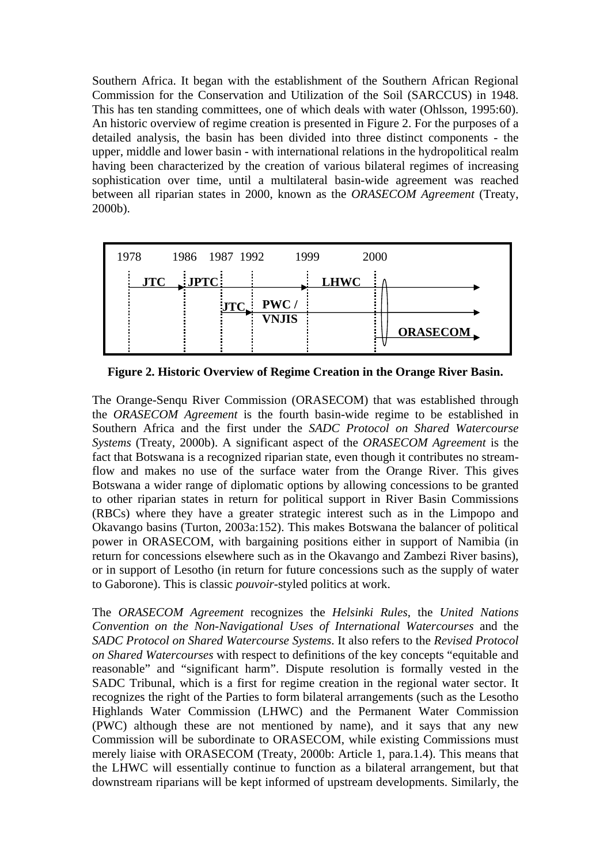Southern Africa. It began with the establishment of the Southern African Regional Commission for the Conservation and Utilization of the Soil (SARCCUS) in 1948. This has ten standing committees, one of which deals with water (Ohlsson, 1995:60). An historic overview of regime creation is presented in Figure 2. For the purposes of a detailed analysis, the basin has been divided into three distinct components - the upper, middle and lower basin - with international relations in the hydropolitical realm having been characterized by the creation of various bilateral regimes of increasing sophistication over time, until a multilateral basin-wide agreement was reached between all riparian states in 2000, known as the *ORASECOM Agreement* (Treaty, 2000b).



**Figure 2. Historic Overview of Regime Creation in the Orange River Basin.** 

The Orange-Senqu River Commission (ORASECOM) that was established through the *ORASECOM Agreement* is the fourth basin-wide regime to be established in Southern Africa and the first under the *SADC Protocol on Shared Watercourse Systems* (Treaty, 2000b). A significant aspect of the *ORASECOM Agreement* is the fact that Botswana is a recognized riparian state, even though it contributes no streamflow and makes no use of the surface water from the Orange River. This gives Botswana a wider range of diplomatic options by allowing concessions to be granted to other riparian states in return for political support in River Basin Commissions (RBCs) where they have a greater strategic interest such as in the Limpopo and Okavango basins (Turton, 2003a:152). This makes Botswana the balancer of political power in ORASECOM, with bargaining positions either in support of Namibia (in return for concessions elsewhere such as in the Okavango and Zambezi River basins), or in support of Lesotho (in return for future concessions such as the supply of water to Gaborone). This is classic *pouvoir*-styled politics at work.

The *ORASECOM Agreement* recognizes the *Helsinki Rules*, the *United Nations Convention on the Non-Navigational Uses of International Watercourses* and the *SADC Protocol on Shared Watercourse Systems*. It also refers to the *Revised Protocol on Shared Watercourses* with respect to definitions of the key concepts "equitable and reasonable" and "significant harm". Dispute resolution is formally vested in the SADC Tribunal, which is a first for regime creation in the regional water sector. It recognizes the right of the Parties to form bilateral arrangements (such as the Lesotho Highlands Water Commission (LHWC) and the Permanent Water Commission (PWC) although these are not mentioned by name), and it says that any new Commission will be subordinate to ORASECOM, while existing Commissions must merely liaise with ORASECOM (Treaty, 2000b: Article 1, para.1.4). This means that the LHWC will essentially continue to function as a bilateral arrangement, but that downstream riparians will be kept informed of upstream developments. Similarly, the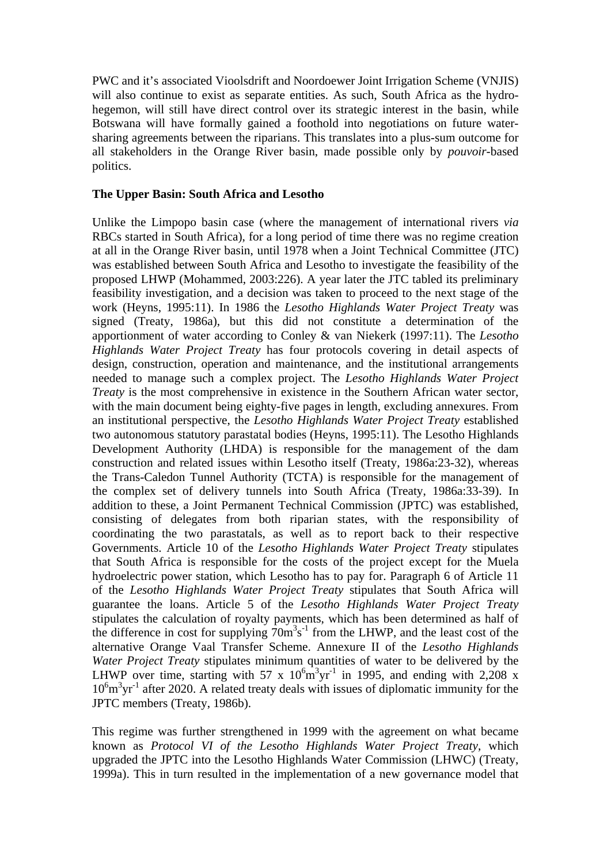PWC and it's associated Vioolsdrift and Noordoewer Joint Irrigation Scheme (VNJIS) will also continue to exist as separate entities. As such, South Africa as the hydrohegemon, will still have direct control over its strategic interest in the basin, while Botswana will have formally gained a foothold into negotiations on future watersharing agreements between the riparians. This translates into a plus-sum outcome for all stakeholders in the Orange River basin, made possible only by *pouvoir*-based politics.

## **The Upper Basin: South Africa and Lesotho**

Unlike the Limpopo basin case (where the management of international rivers *via*  RBCs started in South Africa), for a long period of time there was no regime creation at all in the Orange River basin, until 1978 when a Joint Technical Committee (JTC) was established between South Africa and Lesotho to investigate the feasibility of the proposed LHWP (Mohammed, 2003:226). A year later the JTC tabled its preliminary feasibility investigation, and a decision was taken to proceed to the next stage of the work (Heyns, 1995:11). In 1986 the *Lesotho Highlands Water Project Treaty* was signed (Treaty, 1986a), but this did not constitute a determination of the apportionment of water according to Conley & van Niekerk (1997:11). The *Lesotho Highlands Water Project Treaty* has four protocols covering in detail aspects of design, construction, operation and maintenance, and the institutional arrangements needed to manage such a complex project. The *Lesotho Highlands Water Project Treaty* is the most comprehensive in existence in the Southern African water sector, with the main document being eighty-five pages in length, excluding annexures. From an institutional perspective, the *Lesotho Highlands Water Project Treaty* established two autonomous statutory parastatal bodies (Heyns, 1995:11). The Lesotho Highlands Development Authority (LHDA) is responsible for the management of the dam construction and related issues within Lesotho itself (Treaty, 1986a:23-32), whereas the Trans-Caledon Tunnel Authority (TCTA) is responsible for the management of the complex set of delivery tunnels into South Africa (Treaty, 1986a:33-39). In addition to these, a Joint Permanent Technical Commission (JPTC) was established, consisting of delegates from both riparian states, with the responsibility of coordinating the two parastatals, as well as to report back to their respective Governments. Article 10 of the *Lesotho Highlands Water Project Treaty* stipulates that South Africa is responsible for the costs of the project except for the Muela hydroelectric power station, which Lesotho has to pay for. Paragraph 6 of Article 11 of the *Lesotho Highlands Water Project Treaty* stipulates that South Africa will guarantee the loans. Article 5 of the *Lesotho Highlands Water Project Treaty* stipulates the calculation of royalty payments, which has been determined as half of the difference in cost for supplying  $70m^3s^{-1}$  from the LHWP, and the least cost of the alternative Orange Vaal Transfer Scheme. Annexure II of the *Lesotho Highlands Water Project Treaty* stipulates minimum quantities of water to be delivered by the LHWP over time, starting with 57 x  $10^6$ m<sup>3</sup>yr<sup>-1</sup> in 1995, and ending with 2,208 x 10<sup>6</sup>m<sup>3</sup>yr<sup>-1</sup> after 2020. A related treaty deals with issues of diplomatic immunity for the JPTC members (Treaty, 1986b).

This regime was further strengthened in 1999 with the agreement on what became known as *Protocol VI of the Lesotho Highlands Water Project Treaty*, which upgraded the JPTC into the Lesotho Highlands Water Commission (LHWC) (Treaty, 1999a). This in turn resulted in the implementation of a new governance model that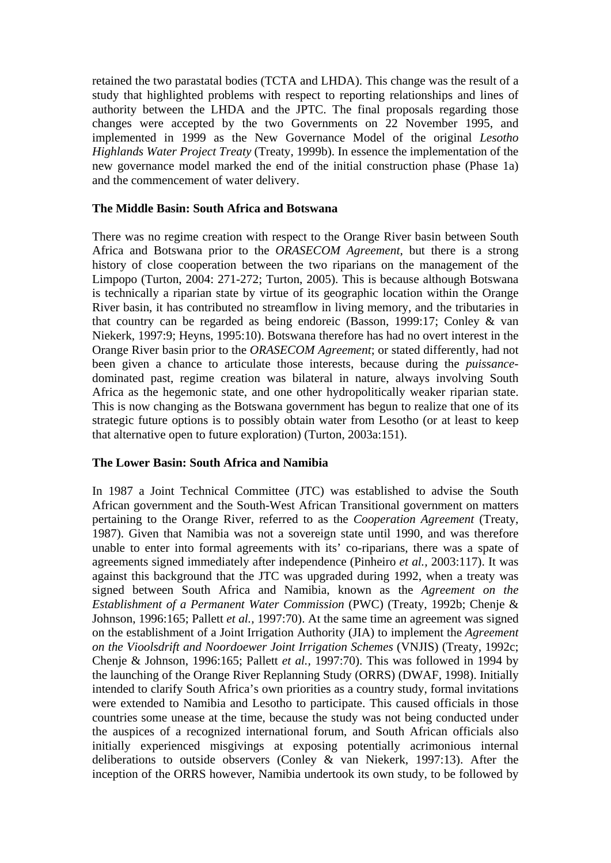retained the two parastatal bodies (TCTA and LHDA). This change was the result of a study that highlighted problems with respect to reporting relationships and lines of authority between the LHDA and the JPTC. The final proposals regarding those changes were accepted by the two Governments on 22 November 1995, and implemented in 1999 as the New Governance Model of the original *Lesotho Highlands Water Project Treaty* (Treaty, 1999b). In essence the implementation of the new governance model marked the end of the initial construction phase (Phase 1a) and the commencement of water delivery.

# **The Middle Basin: South Africa and Botswana**

There was no regime creation with respect to the Orange River basin between South Africa and Botswana prior to the *ORASECOM Agreement*, but there is a strong history of close cooperation between the two riparians on the management of the Limpopo (Turton, 2004: 271-272; Turton, 2005). This is because although Botswana is technically a riparian state by virtue of its geographic location within the Orange River basin, it has contributed no streamflow in living memory, and the tributaries in that country can be regarded as being endoreic (Basson, 1999:17; Conley & van Niekerk, 1997:9; Heyns, 1995:10). Botswana therefore has had no overt interest in the Orange River basin prior to the *ORASECOM Agreement*; or stated differently, had not been given a chance to articulate those interests, because during the *puissance*dominated past, regime creation was bilateral in nature, always involving South Africa as the hegemonic state, and one other hydropolitically weaker riparian state. This is now changing as the Botswana government has begun to realize that one of its strategic future options is to possibly obtain water from Lesotho (or at least to keep that alternative open to future exploration) (Turton, 2003a:151).

## **The Lower Basin: South Africa and Namibia**

In 1987 a Joint Technical Committee (JTC) was established to advise the South African government and the South-West African Transitional government on matters pertaining to the Orange River, referred to as the *Cooperation Agreement* (Treaty, 1987). Given that Namibia was not a sovereign state until 1990, and was therefore unable to enter into formal agreements with its' co-riparians, there was a spate of agreements signed immediately after independence (Pinheiro *et al.,* 2003:117). It was against this background that the JTC was upgraded during 1992, when a treaty was signed between South Africa and Namibia, known as the *Agreement on the Establishment of a Permanent Water Commission* (PWC) (Treaty, 1992b; Chenje & Johnson, 1996:165; Pallett *et al.,* 1997:70). At the same time an agreement was signed on the establishment of a Joint Irrigation Authority (JIA) to implement the *Agreement on the Vioolsdrift and Noordoewer Joint Irrigation Schemes* (VNJIS) (Treaty, 1992c; Chenje & Johnson, 1996:165; Pallett *et al.,* 1997:70). This was followed in 1994 by the launching of the Orange River Replanning Study (ORRS) (DWAF, 1998). Initially intended to clarify South Africa's own priorities as a country study, formal invitations were extended to Namibia and Lesotho to participate. This caused officials in those countries some unease at the time, because the study was not being conducted under the auspices of a recognized international forum, and South African officials also initially experienced misgivings at exposing potentially acrimonious internal deliberations to outside observers (Conley & van Niekerk, 1997:13). After the inception of the ORRS however, Namibia undertook its own study, to be followed by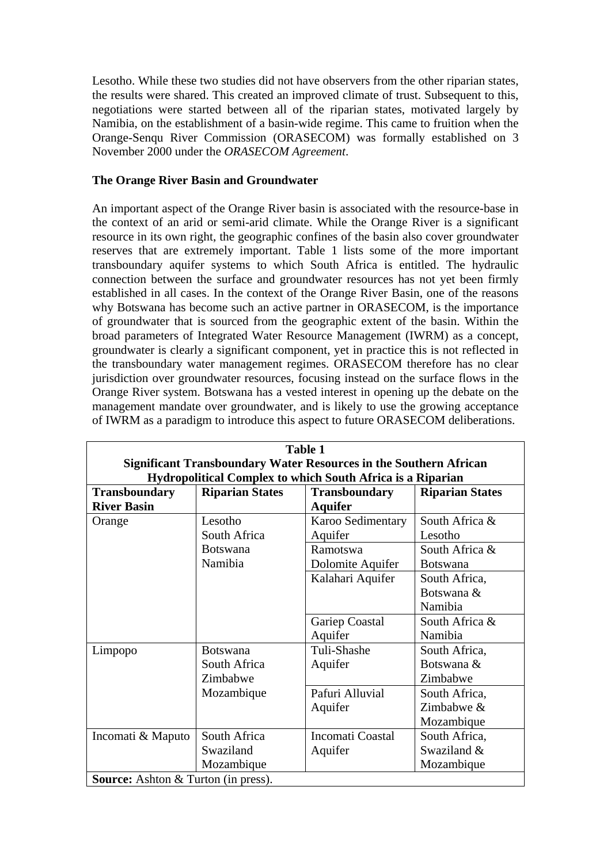Lesotho. While these two studies did not have observers from the other riparian states, the results were shared. This created an improved climate of trust. Subsequent to this, negotiations were started between all of the riparian states, motivated largely by Namibia, on the establishment of a basin-wide regime. This came to fruition when the Orange-Senqu River Commission (ORASECOM) was formally established on 3 November 2000 under the *ORASECOM Agreement*.

## **The Orange River Basin and Groundwater**

An important aspect of the Orange River basin is associated with the resource-base in the context of an arid or semi-arid climate. While the Orange River is a significant resource in its own right, the geographic confines of the basin also cover groundwater reserves that are extremely important. Table 1 lists some of the more important transboundary aquifer systems to which South Africa is entitled. The hydraulic connection between the surface and groundwater resources has not yet been firmly established in all cases. In the context of the Orange River Basin, one of the reasons why Botswana has become such an active partner in ORASECOM, is the importance of groundwater that is sourced from the geographic extent of the basin. Within the broad parameters of Integrated Water Resource Management (IWRM) as a concept, groundwater is clearly a significant component, yet in practice this is not reflected in the transboundary water management regimes. ORASECOM therefore has no clear jurisdiction over groundwater resources, focusing instead on the surface flows in the Orange River system. Botswana has a vested interest in opening up the debate on the management mandate over groundwater, and is likely to use the growing acceptance of IWRM as a paradigm to introduce this aspect to future ORASECOM deliberations.

| <b>Table 1</b>                                                           |                        |                         |                        |
|--------------------------------------------------------------------------|------------------------|-------------------------|------------------------|
| <b>Significant Transboundary Water Resources in the Southern African</b> |                        |                         |                        |
| Hydropolitical Complex to which South Africa is a Riparian               |                        |                         |                        |
| <b>Transboundary</b>                                                     | <b>Riparian States</b> | <b>Transboundary</b>    | <b>Riparian States</b> |
| <b>River Basin</b>                                                       |                        | <b>Aquifer</b>          |                        |
| Orange                                                                   | Lesotho                | Karoo Sedimentary       | South Africa &         |
|                                                                          | South Africa           | Aquifer                 | Lesotho                |
|                                                                          | <b>Botswana</b>        | Ramotswa                | South Africa &         |
|                                                                          | Namibia                | Dolomite Aquifer        | <b>Botswana</b>        |
|                                                                          |                        | Kalahari Aquifer        | South Africa,          |
|                                                                          |                        |                         | Botswana &             |
|                                                                          |                        |                         | Namibia                |
|                                                                          |                        | Gariep Coastal          | South Africa &         |
|                                                                          |                        | Aquifer                 | Namibia                |
| Limpopo                                                                  | <b>Botswana</b>        | Tuli-Shashe             | South Africa,          |
|                                                                          | South Africa           | Aquifer                 | Botswana &             |
|                                                                          | Zimbabwe               |                         | Zimbabwe               |
|                                                                          | Mozambique             | Pafuri Alluvial         | South Africa,          |
|                                                                          |                        | Aquifer                 | Zimbabwe &             |
|                                                                          |                        |                         | Mozambique             |
| Incomati & Maputo                                                        | South Africa           | <b>Incomati Coastal</b> | South Africa,          |
|                                                                          | Swaziland              | Aquifer                 | Swaziland &            |
|                                                                          | Mozambique             |                         | Mozambique             |
| <b>Source:</b> Ashton & Turton (in press).                               |                        |                         |                        |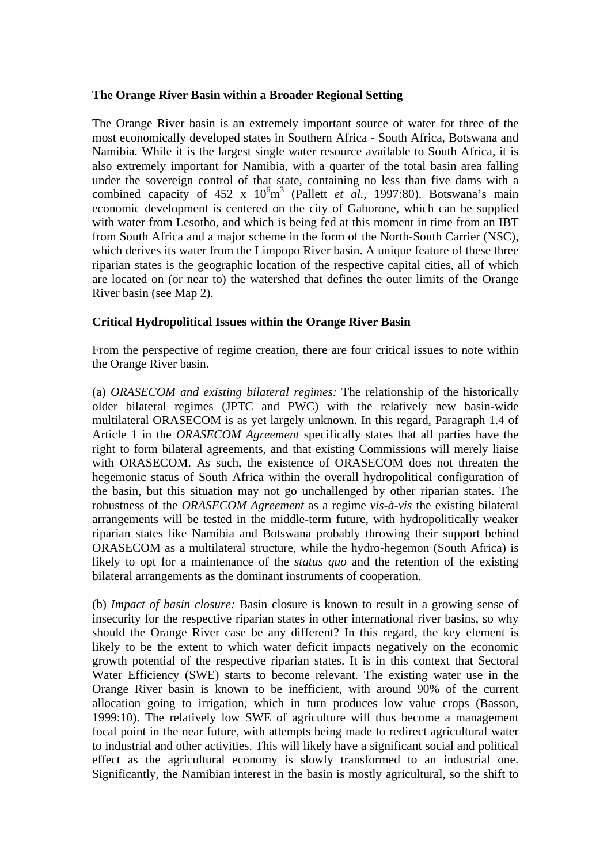#### **The Orange River Basin within a Broader Regional Setting**

The Orange River basin is an extremely important source of water for three of the most economically developed states in Southern Africa - South Africa, Botswana and Namibia. While it is the largest single water resource available to South Africa, it is also extremely important for Namibia, with a quarter of the total basin area falling under the sovereign control of that state, containing no less than five dams with a combined capacity of  $452 \times 10^6 \text{m}^3$  (Pallett *et al.*, 1997:80). Botswana's main economic development is centered on the city of Gaborone, which can be supplied with water from Lesotho, and which is being fed at this moment in time from an IBT from South Africa and a major scheme in the form of the North-South Carrier (NSC), which derives its water from the Limpopo River basin. A unique feature of these three riparian states is the geographic location of the respective capital cities, all of which are located on (or near to) the watershed that defines the outer limits of the Orange River basin (see Map 2).

## **Critical Hydropolitical Issues within the Orange River Basin**

From the perspective of regime creation, there are four critical issues to note within the Orange River basin.

(a) *ORASECOM and existing bilateral regimes:* The relationship of the historically older bilateral regimes (JPTC and PWC) with the relatively new basin-wide multilateral ORASECOM is as yet largely unknown. In this regard, Paragraph 1.4 of Article 1 in the *ORASECOM Agreement* specifically states that all parties have the right to form bilateral agreements, and that existing Commissions will merely liaise with ORASECOM. As such, the existence of ORASECOM does not threaten the hegemonic status of South Africa within the overall hydropolitical configuration of the basin, but this situation may not go unchallenged by other riparian states. The robustness of the *ORASECOM Agreement* as a regime *vis-à-vis* the existing bilateral arrangements will be tested in the middle-term future, with hydropolitically weaker riparian states like Namibia and Botswana probably throwing their support behind ORASECOM as a multilateral structure, while the hydro-hegemon (South Africa) is likely to opt for a maintenance of the *status quo* and the retention of the existing bilateral arrangements as the dominant instruments of cooperation.

(b) *Impact of basin closure:* Basin closure is known to result in a growing sense of insecurity for the respective riparian states in other international river basins, so why should the Orange River case be any different? In this regard, the key element is likely to be the extent to which water deficit impacts negatively on the economic growth potential of the respective riparian states. It is in this context that Sectoral Water Efficiency (SWE) starts to become relevant. The existing water use in the Orange River basin is known to be inefficient, with around 90% of the current allocation going to irrigation, which in turn produces low value crops (Basson, 1999:10). The relatively low SWE of agriculture will thus become a management focal point in the near future, with attempts being made to redirect agricultural water to industrial and other activities. This will likely have a significant social and political effect as the agricultural economy is slowly transformed to an industrial one. Significantly, the Namibian interest in the basin is mostly agricultural, so the shift to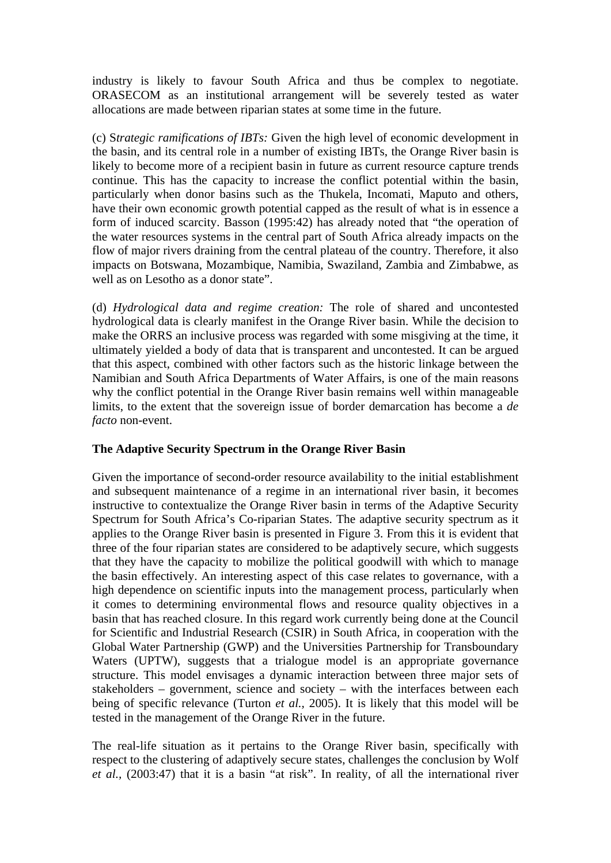industry is likely to favour South Africa and thus be complex to negotiate. ORASECOM as an institutional arrangement will be severely tested as water allocations are made between riparian states at some time in the future.

(c) S*trategic ramifications of IBTs:* Given the high level of economic development in the basin, and its central role in a number of existing IBTs, the Orange River basin is likely to become more of a recipient basin in future as current resource capture trends continue. This has the capacity to increase the conflict potential within the basin, particularly when donor basins such as the Thukela, Incomati, Maputo and others, have their own economic growth potential capped as the result of what is in essence a form of induced scarcity. Basson (1995:42) has already noted that "the operation of the water resources systems in the central part of South Africa already impacts on the flow of major rivers draining from the central plateau of the country. Therefore, it also impacts on Botswana, Mozambique, Namibia, Swaziland, Zambia and Zimbabwe, as well as on Lesotho as a donor state".

(d) *Hydrological data and regime creation:* The role of shared and uncontested hydrological data is clearly manifest in the Orange River basin. While the decision to make the ORRS an inclusive process was regarded with some misgiving at the time, it ultimately yielded a body of data that is transparent and uncontested. It can be argued that this aspect, combined with other factors such as the historic linkage between the Namibian and South Africa Departments of Water Affairs, is one of the main reasons why the conflict potential in the Orange River basin remains well within manageable limits, to the extent that the sovereign issue of border demarcation has become a *de facto* non-event.

## **The Adaptive Security Spectrum in the Orange River Basin**

Given the importance of second-order resource availability to the initial establishment and subsequent maintenance of a regime in an international river basin, it becomes instructive to contextualize the Orange River basin in terms of the Adaptive Security Spectrum for South Africa's Co-riparian States. The adaptive security spectrum as it applies to the Orange River basin is presented in Figure 3. From this it is evident that three of the four riparian states are considered to be adaptively secure, which suggests that they have the capacity to mobilize the political goodwill with which to manage the basin effectively. An interesting aspect of this case relates to governance, with a high dependence on scientific inputs into the management process, particularly when it comes to determining environmental flows and resource quality objectives in a basin that has reached closure. In this regard work currently being done at the Council for Scientific and Industrial Research (CSIR) in South Africa, in cooperation with the Global Water Partnership (GWP) and the Universities Partnership for Transboundary Waters (UPTW), suggests that a trialogue model is an appropriate governance structure. This model envisages a dynamic interaction between three major sets of stakeholders – government, science and society – with the interfaces between each being of specific relevance (Turton *et al.,* 2005). It is likely that this model will be tested in the management of the Orange River in the future.

The real-life situation as it pertains to the Orange River basin, specifically with respect to the clustering of adaptively secure states, challenges the conclusion by Wolf *et al.,* (2003:47) that it is a basin "at risk". In reality, of all the international river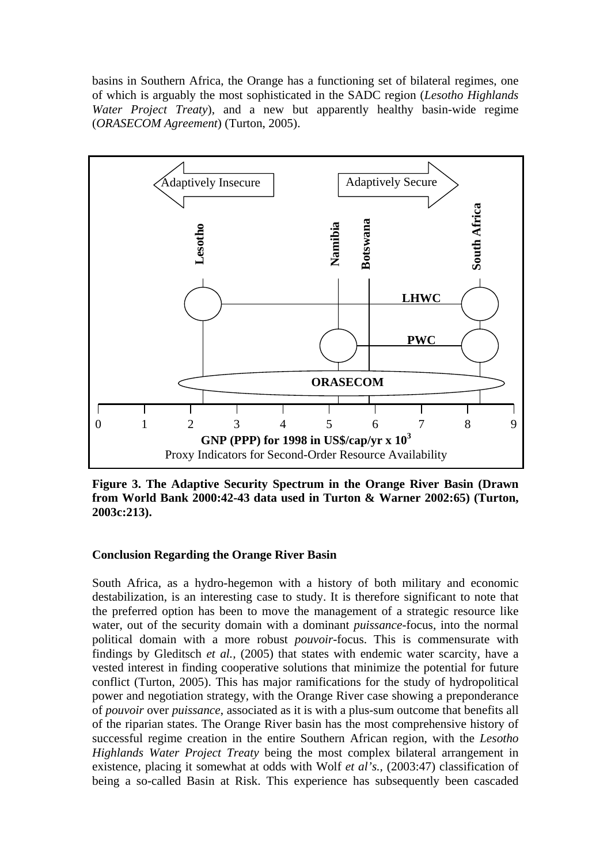basins in Southern Africa, the Orange has a functioning set of bilateral regimes, one of which is arguably the most sophisticated in the SADC region (*Lesotho Highlands Water Project Treaty*), and a new but apparently healthy basin-wide regime (*ORASECOM Agreement*) (Turton, 2005).



**Figure 3. The Adaptive Security Spectrum in the Orange River Basin (Drawn from World Bank 2000:42-43 data used in Turton & Warner 2002:65) (Turton, 2003c:213).** 

## **Conclusion Regarding the Orange River Basin**

South Africa, as a hydro-hegemon with a history of both military and economic destabilization, is an interesting case to study. It is therefore significant to note that the preferred option has been to move the management of a strategic resource like water, out of the security domain with a dominant *puissance*-focus, into the normal political domain with a more robust *pouvoir*-focus. This is commensurate with findings by Gleditsch *et al.,* (2005) that states with endemic water scarcity, have a vested interest in finding cooperative solutions that minimize the potential for future conflict (Turton, 2005). This has major ramifications for the study of hydropolitical power and negotiation strategy, with the Orange River case showing a preponderance of *pouvoir* over *puissance*, associated as it is with a plus-sum outcome that benefits all of the riparian states. The Orange River basin has the most comprehensive history of successful regime creation in the entire Southern African region, with the *Lesotho Highlands Water Project Treaty* being the most complex bilateral arrangement in existence, placing it somewhat at odds with Wolf *et al's.,* (2003:47) classification of being a so-called Basin at Risk. This experience has subsequently been cascaded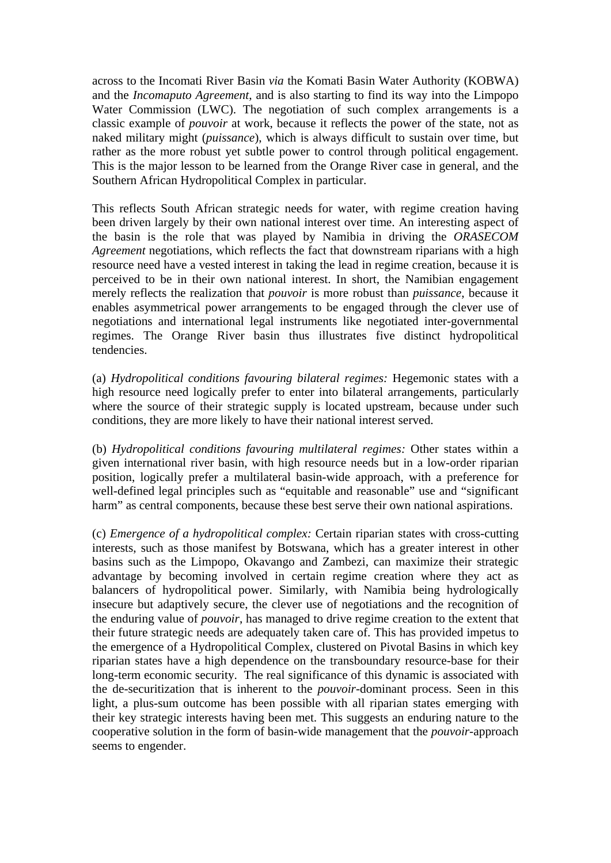across to the Incomati River Basin *via* the Komati Basin Water Authority (KOBWA) and the *Incomaputo Agreement*, and is also starting to find its way into the Limpopo Water Commission (LWC). The negotiation of such complex arrangements is a classic example of *pouvoir* at work, because it reflects the power of the state, not as naked military might (*puissance*), which is always difficult to sustain over time, but rather as the more robust yet subtle power to control through political engagement. This is the major lesson to be learned from the Orange River case in general, and the Southern African Hydropolitical Complex in particular.

This reflects South African strategic needs for water, with regime creation having been driven largely by their own national interest over time. An interesting aspect of the basin is the role that was played by Namibia in driving the *ORASECOM Agreement* negotiations, which reflects the fact that downstream riparians with a high resource need have a vested interest in taking the lead in regime creation, because it is perceived to be in their own national interest. In short, the Namibian engagement merely reflects the realization that *pouvoir* is more robust than *puissance*, because it enables asymmetrical power arrangements to be engaged through the clever use of negotiations and international legal instruments like negotiated inter-governmental regimes. The Orange River basin thus illustrates five distinct hydropolitical tendencies.

(a) *Hydropolitical conditions favouring bilateral regimes:* Hegemonic states with a high resource need logically prefer to enter into bilateral arrangements, particularly where the source of their strategic supply is located upstream, because under such conditions, they are more likely to have their national interest served.

(b) *Hydropolitical conditions favouring multilateral regimes:* Other states within a given international river basin, with high resource needs but in a low-order riparian position, logically prefer a multilateral basin-wide approach, with a preference for well-defined legal principles such as "equitable and reasonable" use and "significant harm" as central components, because these best serve their own national aspirations.

(c) *Emergence of a hydropolitical complex:* Certain riparian states with cross-cutting interests, such as those manifest by Botswana, which has a greater interest in other basins such as the Limpopo, Okavango and Zambezi, can maximize their strategic advantage by becoming involved in certain regime creation where they act as balancers of hydropolitical power. Similarly, with Namibia being hydrologically insecure but adaptively secure, the clever use of negotiations and the recognition of the enduring value of *pouvoir*, has managed to drive regime creation to the extent that their future strategic needs are adequately taken care of. This has provided impetus to the emergence of a Hydropolitical Complex, clustered on Pivotal Basins in which key riparian states have a high dependence on the transboundary resource-base for their long-term economic security. The real significance of this dynamic is associated with the de-securitization that is inherent to the *pouvoir*-dominant process. Seen in this light, a plus-sum outcome has been possible with all riparian states emerging with their key strategic interests having been met. This suggests an enduring nature to the cooperative solution in the form of basin-wide management that the *pouvoir*-approach seems to engender.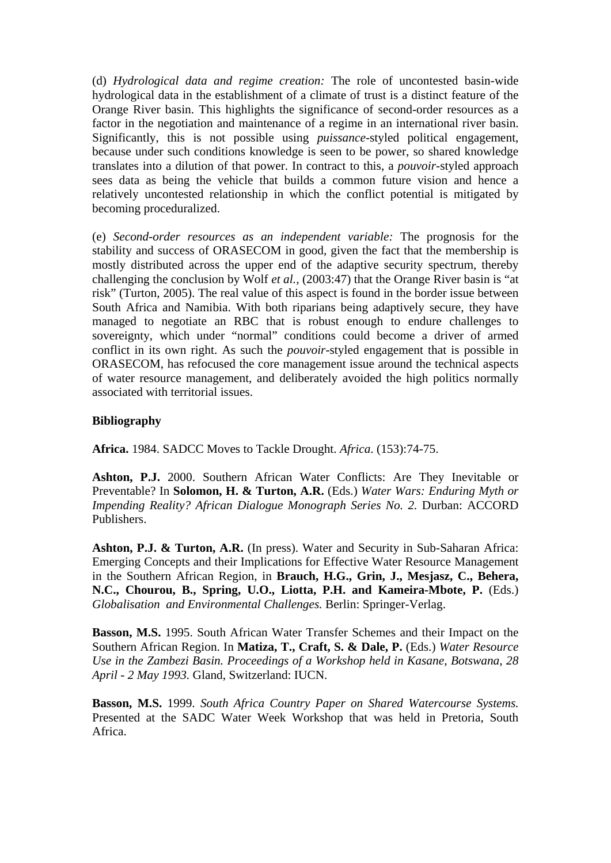(d) *Hydrological data and regime creation:* The role of uncontested basin-wide hydrological data in the establishment of a climate of trust is a distinct feature of the Orange River basin. This highlights the significance of second-order resources as a factor in the negotiation and maintenance of a regime in an international river basin. Significantly, this is not possible using *puissance*-styled political engagement, because under such conditions knowledge is seen to be power, so shared knowledge translates into a dilution of that power. In contract to this, a *pouvoir*-styled approach sees data as being the vehicle that builds a common future vision and hence a relatively uncontested relationship in which the conflict potential is mitigated by becoming proceduralized.

(e) *Second-order resources as an independent variable:* The prognosis for the stability and success of ORASECOM in good, given the fact that the membership is mostly distributed across the upper end of the adaptive security spectrum, thereby challenging the conclusion by Wolf *et al.,* (2003:47) that the Orange River basin is "at risk" (Turton, 2005). The real value of this aspect is found in the border issue between South Africa and Namibia. With both riparians being adaptively secure, they have managed to negotiate an RBC that is robust enough to endure challenges to sovereignty, which under "normal" conditions could become a driver of armed conflict in its own right. As such the *pouvoir*-styled engagement that is possible in ORASECOM, has refocused the core management issue around the technical aspects of water resource management, and deliberately avoided the high politics normally associated with territorial issues.

# **Bibliography**

**Africa.** 1984. SADCC Moves to Tackle Drought. *Africa*. (153):74-75.

**Ashton, P.J.** 2000. Southern African Water Conflicts: Are They Inevitable or Preventable? In **Solomon, H. & Turton, A.R.** (Eds.) *Water Wars: Enduring Myth or Impending Reality? African Dialogue Monograph Series No. 2.* Durban: ACCORD Publishers.

**Ashton, P.J. & Turton, A.R.** (In press). Water and Security in Sub-Saharan Africa: Emerging Concepts and their Implications for Effective Water Resource Management in the Southern African Region, in **Brauch, H.G., Grin, J., Mesjasz, C., Behera, N.C., Chourou, B., Spring, U.O., Liotta, P.H. and Kameira-Mbote, P.** (Eds.) *Globalisation and Environmental Challenges.* Berlin: Springer-Verlag.

**Basson, M.S.** 1995. South African Water Transfer Schemes and their Impact on the Southern African Region. In **Matiza, T., Craft, S. & Dale, P.** (Eds.) *Water Resource Use in the Zambezi Basin. Proceedings of a Workshop held in Kasane, Botswana, 28 April - 2 May 1993.* Gland, Switzerland: IUCN.

**Basson, M.S.** 1999. *South Africa Country Paper on Shared Watercourse Systems.* Presented at the SADC Water Week Workshop that was held in Pretoria, South Africa.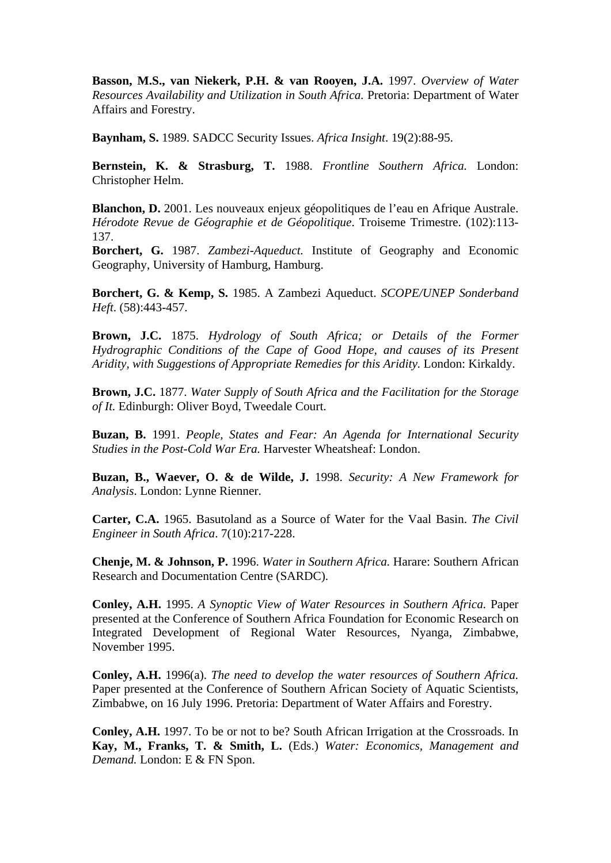**Basson, M.S., van Niekerk, P.H. & van Rooyen, J.A.** 1997. *Overview of Water Resources Availability and Utilization in South Africa.* Pretoria: Department of Water Affairs and Forestry.

**Baynham, S.** 1989. SADCC Security Issues. *Africa Insight*. 19(2):88-95.

**Bernstein, K. & Strasburg, T.** 1988. *Frontline Southern Africa.* London: Christopher Helm.

**Blanchon, D.** 2001. Les nouveaux enjeux géopolitiques de l'eau en Afrique Australe. *Hérodote Revue de Géographie et de Géopolitique*. Troiseme Trimestre. (102):113- 137.

**Borchert, G.** 1987. *Zambezi-Aqueduct.* Institute of Geography and Economic Geography, University of Hamburg, Hamburg.

**Borchert, G. & Kemp, S.** 1985. A Zambezi Aqueduct. *SCOPE/UNEP Sonderband Heft*. (58):443-457.

**Brown, J.C.** 1875. *Hydrology of South Africa; or Details of the Former Hydrographic Conditions of the Cape of Good Hope, and causes of its Present Aridity, with Suggestions of Appropriate Remedies for this Aridity.* London: Kirkaldy.

**Brown, J.C.** 1877. *Water Supply of South Africa and the Facilitation for the Storage of It.* Edinburgh: Oliver Boyd, Tweedale Court.

**Buzan, B.** 1991. *People, States and Fear: An Agenda for International Security Studies in the Post-Cold War Era.* Harvester Wheatsheaf: London.

**Buzan, B., Waever, O. & de Wilde, J.** 1998. *Security: A New Framework for Analysis*. London: Lynne Rienner.

**Carter, C.A.** 1965. Basutoland as a Source of Water for the Vaal Basin. *The Civil Engineer in South Africa*. 7(10):217-228.

**Chenje, M. & Johnson, P.** 1996. *Water in Southern Africa.* Harare: Southern African Research and Documentation Centre (SARDC).

**Conley, A.H.** 1995. *A Synoptic View of Water Resources in Southern Africa.* Paper presented at the Conference of Southern Africa Foundation for Economic Research on Integrated Development of Regional Water Resources, Nyanga, Zimbabwe, November 1995.

**Conley, A.H.** 1996(a). *The need to develop the water resources of Southern Africa.* Paper presented at the Conference of Southern African Society of Aquatic Scientists, Zimbabwe, on 16 July 1996. Pretoria: Department of Water Affairs and Forestry.

**Conley, A.H.** 1997. To be or not to be? South African Irrigation at the Crossroads. In **Kay, M., Franks, T. & Smith, L.** (Eds.) *Water: Economics, Management and Demand.* London: E & FN Spon.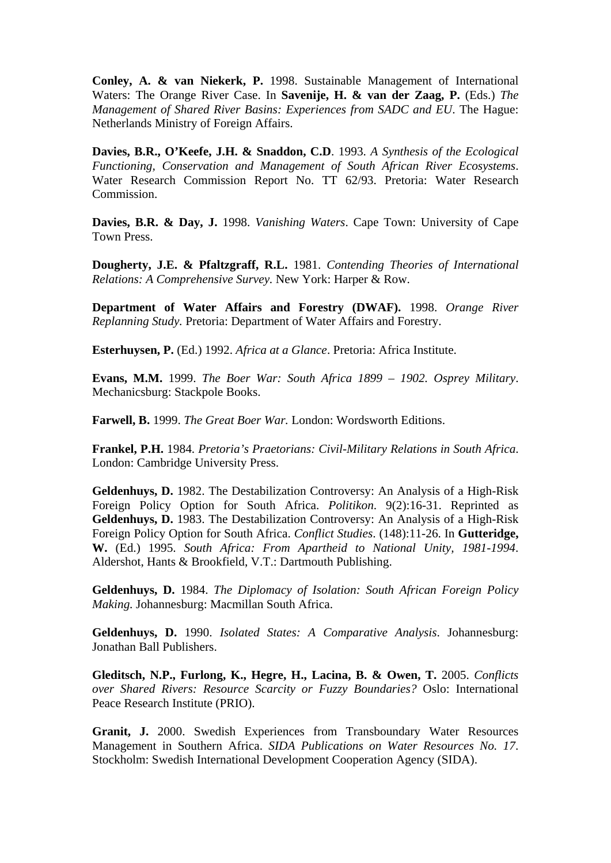**Conley, A. & van Niekerk, P.** 1998. Sustainable Management of International Waters: The Orange River Case. In **Savenije, H. & van der Zaag, P.** (Eds.) *The Management of Shared River Basins: Experiences from SADC and EU*. The Hague: Netherlands Ministry of Foreign Affairs.

**Davies, B.R., O'Keefe, J.H. & Snaddon, C.D**. 1993. *A Synthesis of the Ecological Functioning, Conservation and Management of South African River Ecosystems*. Water Research Commission Report No. TT 62/93. Pretoria: Water Research Commission.

**Davies, B.R. & Day, J.** 1998. *Vanishing Waters*. Cape Town: University of Cape Town Press.

**Dougherty, J.E. & Pfaltzgraff, R.L.** 1981. *Contending Theories of International Relations: A Comprehensive Survey.* New York: Harper & Row.

**Department of Water Affairs and Forestry (DWAF).** 1998. *Orange River Replanning Study.* Pretoria: Department of Water Affairs and Forestry.

**Esterhuysen, P.** (Ed.) 1992. *Africa at a Glance*. Pretoria: Africa Institute.

**Evans, M.M.** 1999. *The Boer War: South Africa 1899 – 1902. Osprey Military*. Mechanicsburg: Stackpole Books.

**Farwell, B.** 1999. *The Great Boer War.* London: Wordsworth Editions.

**Frankel, P.H.** 1984. *Pretoria's Praetorians: Civil-Military Relations in South Africa*. London: Cambridge University Press.

**Geldenhuys, D.** 1982. The Destabilization Controversy: An Analysis of a High-Risk Foreign Policy Option for South Africa. *Politikon*. 9(2):16-31. Reprinted as **Geldenhuys, D.** 1983. The Destabilization Controversy: An Analysis of a High-Risk Foreign Policy Option for South Africa. *Conflict Studies*. (148):11-26. In **Gutteridge, W.** (Ed.) 1995. *South Africa: From Apartheid to National Unity, 1981-1994*. Aldershot, Hants & Brookfield, V.T.: Dartmouth Publishing.

**Geldenhuys, D.** 1984. *The Diplomacy of Isolation: South African Foreign Policy Making.* Johannesburg: Macmillan South Africa.

**Geldenhuys, D.** 1990. *Isolated States: A Comparative Analysis*. Johannesburg: Jonathan Ball Publishers.

**Gleditsch, N.P., Furlong, K., Hegre, H., Lacina, B. & Owen, T.** 2005. *Conflicts over Shared Rivers: Resource Scarcity or Fuzzy Boundaries?* Oslo: International Peace Research Institute (PRIO).

**Granit, J.** 2000. Swedish Experiences from Transboundary Water Resources Management in Southern Africa. *SIDA Publications on Water Resources No. 17*. Stockholm: Swedish International Development Cooperation Agency (SIDA).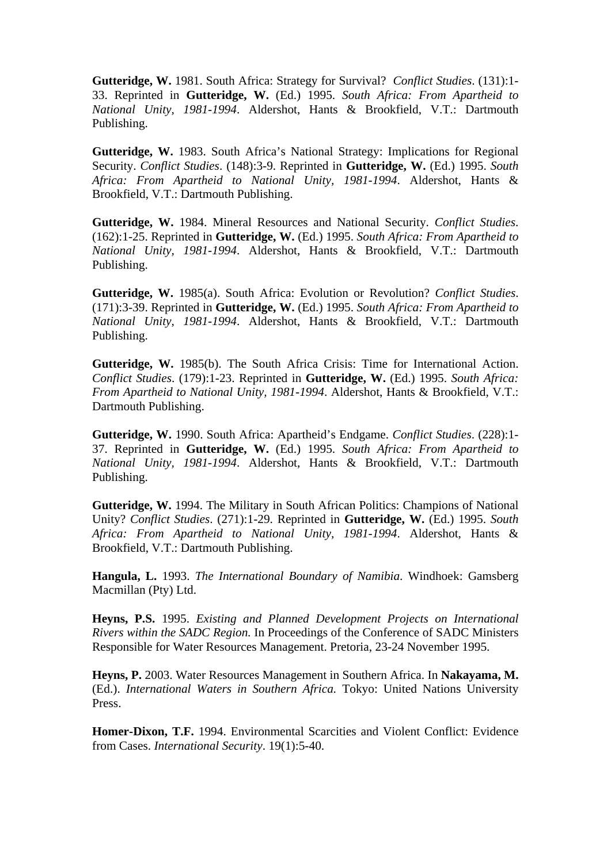**Gutteridge, W.** 1981. South Africa: Strategy for Survival? *Conflict Studies*. (131):1- 33. Reprinted in **Gutteridge, W.** (Ed.) 1995. *South Africa: From Apartheid to National Unity, 1981-1994*. Aldershot, Hants & Brookfield, V.T.: Dartmouth Publishing.

**Gutteridge, W.** 1983. South Africa's National Strategy: Implications for Regional Security. *Conflict Studies*. (148):3-9. Reprinted in **Gutteridge, W.** (Ed.) 1995. *South Africa: From Apartheid to National Unity, 1981-1994*. Aldershot, Hants & Brookfield, V.T.: Dartmouth Publishing.

**Gutteridge, W.** 1984. Mineral Resources and National Security. *Conflict Studies*. (162):1-25. Reprinted in **Gutteridge, W.** (Ed.) 1995. *South Africa: From Apartheid to National Unity, 1981-1994*. Aldershot, Hants & Brookfield, V.T.: Dartmouth Publishing.

**Gutteridge, W.** 1985(a). South Africa: Evolution or Revolution? *Conflict Studies*. (171):3-39. Reprinted in **Gutteridge, W.** (Ed.) 1995. *South Africa: From Apartheid to National Unity, 1981-1994*. Aldershot, Hants & Brookfield, V.T.: Dartmouth Publishing.

**Gutteridge, W.** 1985(b). The South Africa Crisis: Time for International Action. *Conflict Studies*. (179):1-23. Reprinted in **Gutteridge, W.** (Ed.) 1995. *South Africa: From Apartheid to National Unity, 1981-1994*. Aldershot, Hants & Brookfield, V.T.: Dartmouth Publishing.

**Gutteridge, W.** 1990. South Africa: Apartheid's Endgame. *Conflict Studies*. (228):1- 37. Reprinted in **Gutteridge, W.** (Ed.) 1995. *South Africa: From Apartheid to National Unity, 1981-1994*. Aldershot, Hants & Brookfield, V.T.: Dartmouth Publishing.

**Gutteridge, W.** 1994. The Military in South African Politics: Champions of National Unity? *Conflict Studies*. (271):1-29. Reprinted in **Gutteridge, W.** (Ed.) 1995. *South Africa: From Apartheid to National Unity, 1981-1994*. Aldershot, Hants & Brookfield, V.T.: Dartmouth Publishing.

**Hangula, L.** 1993. *The International Boundary of Namibia*. Windhoek: Gamsberg Macmillan (Pty) Ltd.

**Heyns, P.S.** 1995. *Existing and Planned Development Projects on International Rivers within the SADC Region.* In Proceedings of the Conference of SADC Ministers Responsible for Water Resources Management. Pretoria, 23-24 November 1995.

**Heyns, P.** 2003. Water Resources Management in Southern Africa. In **Nakayama, M.** (Ed.). *International Waters in Southern Africa.* Tokyo: United Nations University Press.

**Homer-Dixon, T.F.** 1994. Environmental Scarcities and Violent Conflict: Evidence from Cases. *International Security*. 19(1):5-40.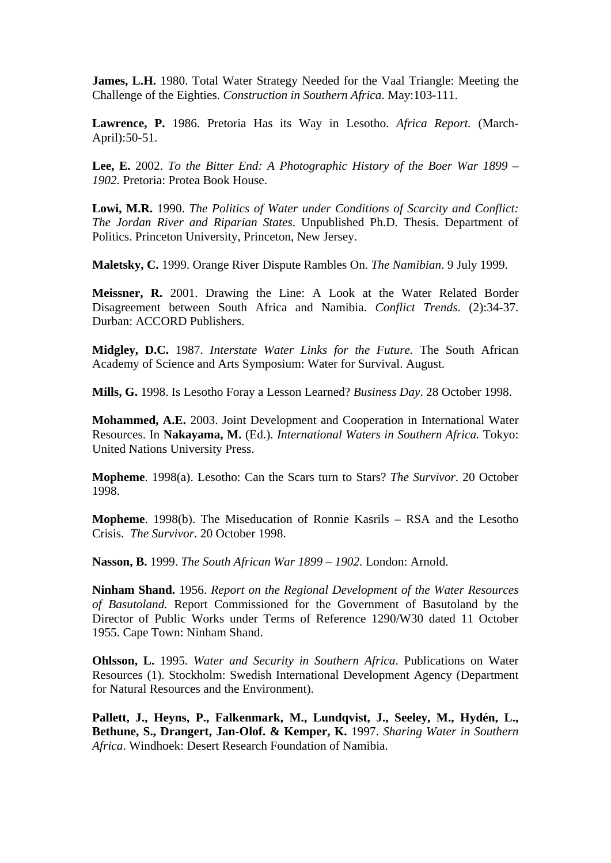**James, L.H.** 1980. Total Water Strategy Needed for the Vaal Triangle: Meeting the Challenge of the Eighties. *Construction in Southern Africa*. May:103-111.

**Lawrence, P.** 1986. Pretoria Has its Way in Lesotho. *Africa Report.* (March-April):50-51.

**Lee, E.** 2002. *To the Bitter End: A Photographic History of the Boer War 1899 – 1902.* Pretoria: Protea Book House.

**Lowi, M.R.** 1990. *The Politics of Water under Conditions of Scarcity and Conflict: The Jordan River and Riparian States*. Unpublished Ph.D. Thesis. Department of Politics. Princeton University, Princeton, New Jersey.

**Maletsky, C.** 1999. Orange River Dispute Rambles On. *The Namibian*. 9 July 1999.

**Meissner, R.** 2001. Drawing the Line: A Look at the Water Related Border Disagreement between South Africa and Namibia. *Conflict Trends*. (2):34-37. Durban: ACCORD Publishers.

**Midgley, D.C.** 1987. *Interstate Water Links for the Future.* The South African Academy of Science and Arts Symposium: Water for Survival. August.

**Mills, G.** 1998. Is Lesotho Foray a Lesson Learned? *Business Day*. 28 October 1998.

**Mohammed, A.E.** 2003. Joint Development and Cooperation in International Water Resources. In **Nakayama, M.** (Ed.). *International Waters in Southern Africa.* Tokyo: United Nations University Press.

**Mopheme**. 1998(a). Lesotho: Can the Scars turn to Stars? *The Survivor*. 20 October 1998.

**Mopheme**. 1998(b). The Miseducation of Ronnie Kasrils – RSA and the Lesotho Crisis. *The Survivor*. 20 October 1998.

**Nasson, B.** 1999. *The South African War 1899 – 1902.* London: Arnold.

**Ninham Shand.** 1956. *Report on the Regional Development of the Water Resources of Basutoland.* Report Commissioned for the Government of Basutoland by the Director of Public Works under Terms of Reference 1290/W30 dated 11 October 1955. Cape Town: Ninham Shand.

**Ohlsson, L.** 1995. *Water and Security in Southern Africa*. Publications on Water Resources (1). Stockholm: Swedish International Development Agency (Department for Natural Resources and the Environment).

**Pallett, J., Heyns, P., Falkenmark, M., Lundqvist, J., Seeley, M., Hydén, L., Bethune, S., Drangert, Jan-Olof. & Kemper, K.** 1997. *Sharing Water in Southern Africa*. Windhoek: Desert Research Foundation of Namibia.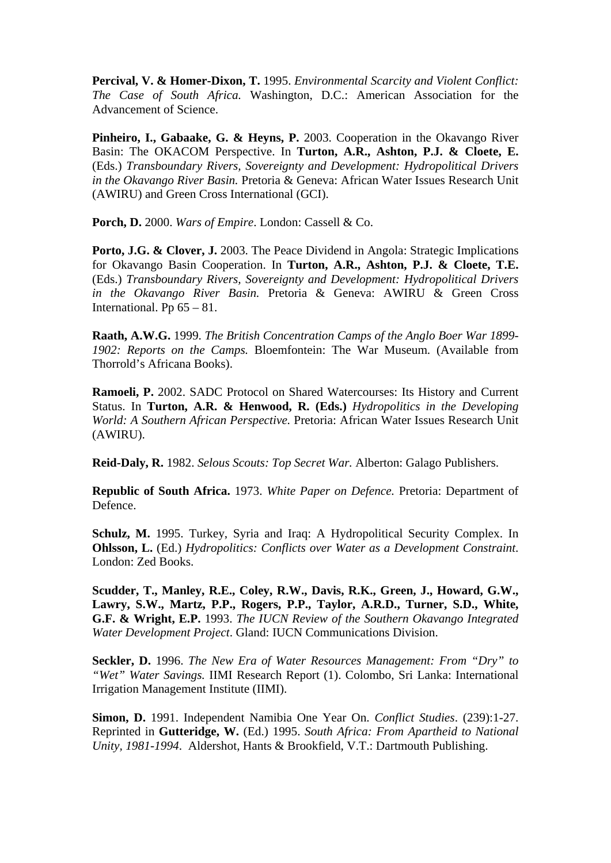**Percival, V. & Homer-Dixon, T.** 1995. *Environmental Scarcity and Violent Conflict: The Case of South Africa.* Washington, D.C.: American Association for the Advancement of Science.

**Pinheiro, I., Gabaake, G. & Heyns, P.** 2003. Cooperation in the Okavango River Basin: The OKACOM Perspective. In **Turton, A.R., Ashton, P.J. & Cloete, E.**  (Eds.) *Transboundary Rivers, Sovereignty and Development: Hydropolitical Drivers in the Okavango River Basin.* Pretoria & Geneva: African Water Issues Research Unit (AWIRU) and Green Cross International (GCI).

**Porch, D.** 2000. *Wars of Empire*. London: Cassell & Co.

Porto, J.G. & Clover, J. 2003. The Peace Dividend in Angola: Strategic Implications for Okavango Basin Cooperation. In **Turton, A.R., Ashton, P.J. & Cloete, T.E.** (Eds.) *Transboundary Rivers, Sovereignty and Development: Hydropolitical Drivers in the Okavango River Basin.* Pretoria & Geneva: AWIRU & Green Cross International. Pp 65 – 81.

**Raath, A.W.G.** 1999. *The British Concentration Camps of the Anglo Boer War 1899- 1902: Reports on the Camps.* Bloemfontein: The War Museum. (Available from Thorrold's Africana Books).

**Ramoeli, P.** 2002. SADC Protocol on Shared Watercourses: Its History and Current Status. In **Turton, A.R. & Henwood, R. (Eds.)** *Hydropolitics in the Developing World: A Southern African Perspective.* Pretoria: African Water Issues Research Unit (AWIRU).

**Reid-Daly, R.** 1982. *Selous Scouts: Top Secret War.* Alberton: Galago Publishers.

**Republic of South Africa.** 1973. *White Paper on Defence.* Pretoria: Department of Defence.

**Schulz, M.** 1995. Turkey, Syria and Iraq: A Hydropolitical Security Complex. In **Ohlsson, L.** (Ed.) *Hydropolitics: Conflicts over Water as a Development Constraint*. London: Zed Books.

**Scudder, T., Manley, R.E., Coley, R.W., Davis, R.K., Green, J., Howard, G.W., Lawry, S.W., Martz, P.P., Rogers, P.P., Taylor, A.R.D., Turner, S.D., White, G.F. & Wright, E.P.** 1993. *The IUCN Review of the Southern Okavango Integrated Water Development Project*. Gland: IUCN Communications Division.

**Seckler, D.** 1996. *The New Era of Water Resources Management: From "Dry" to "Wet" Water Savings.* IIMI Research Report (1). Colombo, Sri Lanka: International Irrigation Management Institute (IIMI).

**Simon, D.** 1991. Independent Namibia One Year On. *Conflict Studies*. (239):1-27. Reprinted in **Gutteridge, W.** (Ed.) 1995. *South Africa: From Apartheid to National Unity, 1981-1994*. Aldershot, Hants & Brookfield, V.T.: Dartmouth Publishing.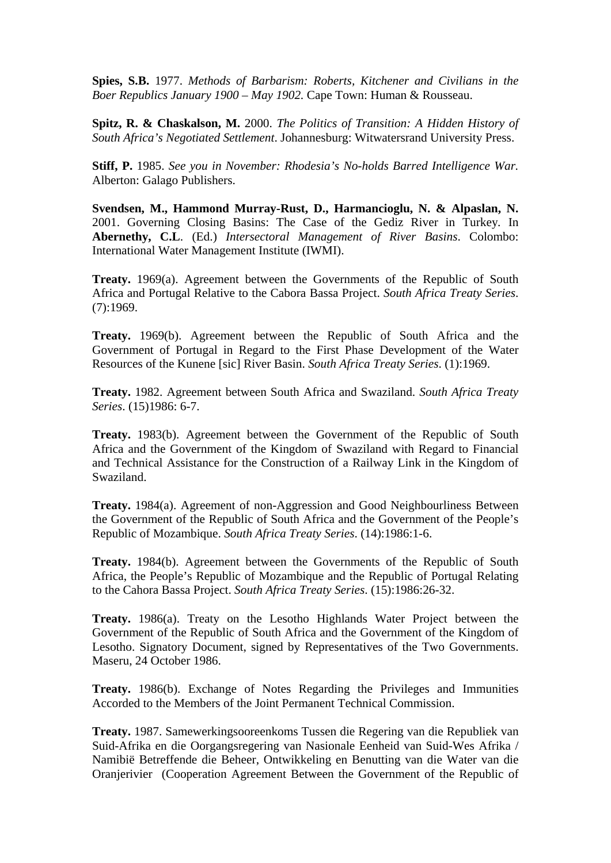**Spies, S.B.** 1977. *Methods of Barbarism: Roberts, Kitchener and Civilians in the Boer Republics January 1900 – May 1902.* Cape Town: Human & Rousseau.

**Spitz, R. & Chaskalson, M.** 2000. *The Politics of Transition: A Hidden History of South Africa's Negotiated Settlement*. Johannesburg: Witwatersrand University Press.

**Stiff, P.** 1985. *See you in November: Rhodesia's No-holds Barred Intelligence War.* Alberton: Galago Publishers.

**Svendsen, M., Hammond Murray-Rust, D., Harmancioglu, N. & Alpaslan, N.** 2001. Governing Closing Basins: The Case of the Gediz River in Turkey*.* In **Abernethy, C.L**. (Ed.) *Intersectoral Management of River Basins*. Colombo: International Water Management Institute (IWMI).

**Treaty.** 1969(a). Agreement between the Governments of the Republic of South Africa and Portugal Relative to the Cabora Bassa Project. *South Africa Treaty Series*. (7):1969.

**Treaty.** 1969(b). Agreement between the Republic of South Africa and the Government of Portugal in Regard to the First Phase Development of the Water Resources of the Kunene [sic] River Basin. *South Africa Treaty Series*. (1):1969.

**Treaty.** 1982. Agreement between South Africa and Swaziland. *South Africa Treaty Series*. (15)1986: 6-7.

**Treaty.** 1983(b). Agreement between the Government of the Republic of South Africa and the Government of the Kingdom of Swaziland with Regard to Financial and Technical Assistance for the Construction of a Railway Link in the Kingdom of Swaziland.

**Treaty.** 1984(a). Agreement of non-Aggression and Good Neighbourliness Between the Government of the Republic of South Africa and the Government of the People's Republic of Mozambique. *South Africa Treaty Series*. (14):1986:1-6.

**Treaty.** 1984(b). Agreement between the Governments of the Republic of South Africa, the People's Republic of Mozambique and the Republic of Portugal Relating to the Cahora Bassa Project. *South Africa Treaty Series*. (15):1986:26-32.

**Treaty.** 1986(a). Treaty on the Lesotho Highlands Water Project between the Government of the Republic of South Africa and the Government of the Kingdom of Lesotho. Signatory Document, signed by Representatives of the Two Governments. Maseru, 24 October 1986.

**Treaty.** 1986(b). Exchange of Notes Regarding the Privileges and Immunities Accorded to the Members of the Joint Permanent Technical Commission.

**Treaty.** 1987. Samewerkingsooreenkoms Tussen die Regering van die Republiek van Suid-Afrika en die Oorgangsregering van Nasionale Eenheid van Suid-Wes Afrika / Namibië Betreffende die Beheer, Ontwikkeling en Benutting van die Water van die Oranjerivier (Cooperation Agreement Between the Government of the Republic of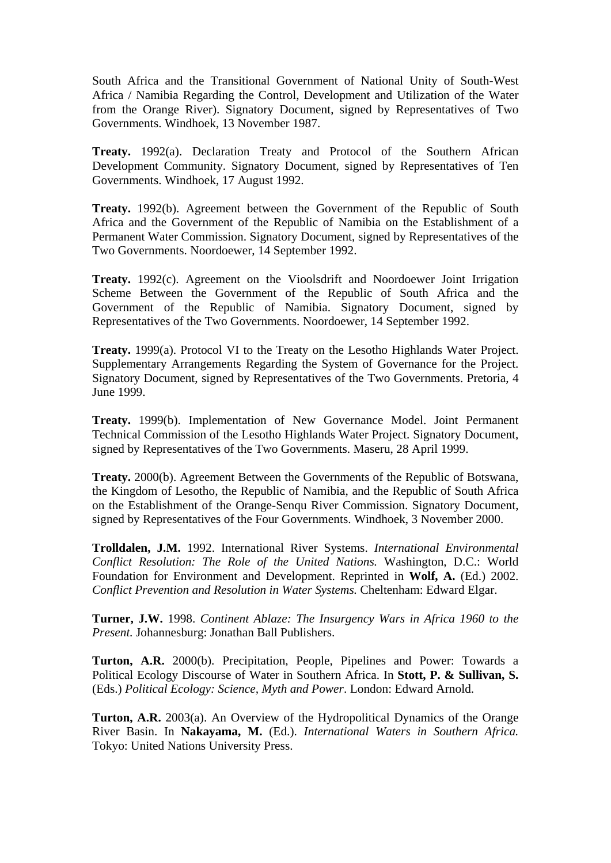South Africa and the Transitional Government of National Unity of South-West Africa / Namibia Regarding the Control, Development and Utilization of the Water from the Orange River). Signatory Document, signed by Representatives of Two Governments. Windhoek, 13 November 1987.

**Treaty.** 1992(a). Declaration Treaty and Protocol of the Southern African Development Community. Signatory Document, signed by Representatives of Ten Governments. Windhoek, 17 August 1992.

**Treaty.** 1992(b). Agreement between the Government of the Republic of South Africa and the Government of the Republic of Namibia on the Establishment of a Permanent Water Commission. Signatory Document, signed by Representatives of the Two Governments. Noordoewer, 14 September 1992.

**Treaty.** 1992(c). Agreement on the Vioolsdrift and Noordoewer Joint Irrigation Scheme Between the Government of the Republic of South Africa and the Government of the Republic of Namibia. Signatory Document, signed by Representatives of the Two Governments. Noordoewer, 14 September 1992.

**Treaty.** 1999(a). Protocol VI to the Treaty on the Lesotho Highlands Water Project. Supplementary Arrangements Regarding the System of Governance for the Project. Signatory Document, signed by Representatives of the Two Governments. Pretoria, 4 June 1999.

**Treaty.** 1999(b). Implementation of New Governance Model. Joint Permanent Technical Commission of the Lesotho Highlands Water Project. Signatory Document, signed by Representatives of the Two Governments. Maseru, 28 April 1999.

**Treaty.** 2000(b). Agreement Between the Governments of the Republic of Botswana, the Kingdom of Lesotho, the Republic of Namibia, and the Republic of South Africa on the Establishment of the Orange-Senqu River Commission. Signatory Document, signed by Representatives of the Four Governments. Windhoek, 3 November 2000.

**Trolldalen, J.M.** 1992. International River Systems. *International Environmental Conflict Resolution: The Role of the United Nations.* Washington, D.C.: World Foundation for Environment and Development. Reprinted in **Wolf, A.** (Ed.) 2002. *Conflict Prevention and Resolution in Water Systems.* Cheltenham: Edward Elgar.

**Turner, J.W.** 1998. *Continent Ablaze: The Insurgency Wars in Africa 1960 to the Present.* Johannesburg: Jonathan Ball Publishers.

**Turton, A.R.** 2000(b). Precipitation, People, Pipelines and Power: Towards a Political Ecology Discourse of Water in Southern Africa. In **Stott, P. & Sullivan, S.**  (Eds.) *Political Ecology: Science, Myth and Power*. London: Edward Arnold.

**Turton, A.R.** 2003(a). An Overview of the Hydropolitical Dynamics of the Orange River Basin. In **Nakayama, M.** (Ed.). *International Waters in Southern Africa.* Tokyo: United Nations University Press.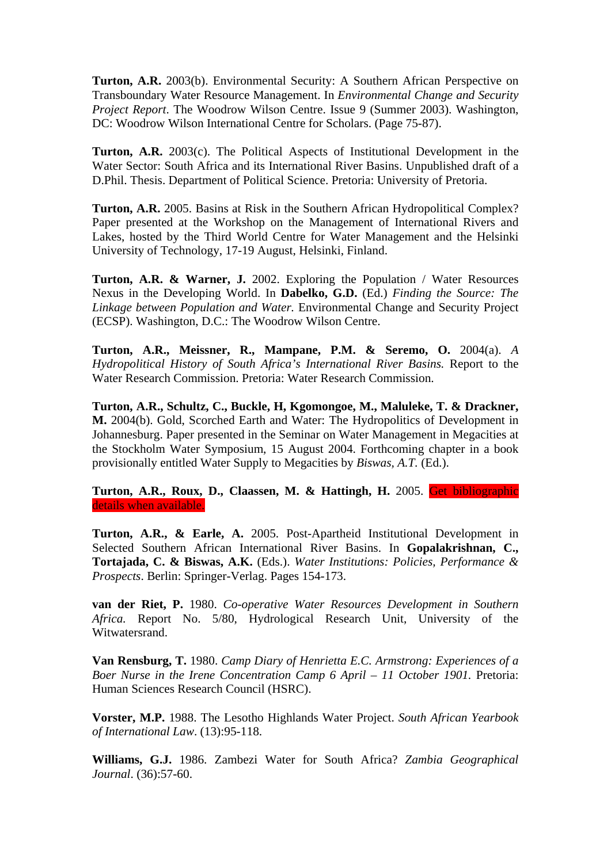**Turton, A.R.** 2003(b). Environmental Security: A Southern African Perspective on Transboundary Water Resource Management. In *Environmental Change and Security Project Report*. The Woodrow Wilson Centre. Issue 9 (Summer 2003). Washington, DC: Woodrow Wilson International Centre for Scholars. (Page 75-87).

**Turton, A.R.** 2003(c). The Political Aspects of Institutional Development in the Water Sector: South Africa and its International River Basins. Unpublished draft of a D.Phil. Thesis. Department of Political Science. Pretoria: University of Pretoria.

**Turton, A.R.** 2005. Basins at Risk in the Southern African Hydropolitical Complex? Paper presented at the Workshop on the Management of International Rivers and Lakes, hosted by the Third World Centre for Water Management and the Helsinki University of Technology, 17-19 August, Helsinki, Finland.

**Turton, A.R. & Warner, J.** 2002. Exploring the Population / Water Resources Nexus in the Developing World. In **Dabelko, G.D.** (Ed.) *Finding the Source: The Linkage between Population and Water.* Environmental Change and Security Project (ECSP). Washington, D.C.: The Woodrow Wilson Centre.

**Turton, A.R., Meissner, R., Mampane, P.M. & Seremo, O.** 2004(a). *A Hydropolitical History of South Africa's International River Basins.* Report to the Water Research Commission. Pretoria: Water Research Commission.

**Turton, A.R., Schultz, C., Buckle, H, Kgomongoe, M., Maluleke, T. & Drackner, M.** 2004(b). Gold, Scorched Earth and Water: The Hydropolitics of Development in Johannesburg. Paper presented in the Seminar on Water Management in Megacities at the Stockholm Water Symposium, 15 August 2004. Forthcoming chapter in a book provisionally entitled Water Supply to Megacities by *Biswas, A.T.* (Ed.).

**Turton, A.R., Roux, D., Claassen, M. & Hattingh, H.** 2005. Get bibliographic details when available.

**Turton, A.R., & Earle, A.** 2005. Post-Apartheid Institutional Development in Selected Southern African International River Basins. In **Gopalakrishnan, C., Tortajada, C. & Biswas, A.K.** (Eds.). *Water Institutions: Policies, Performance & Prospects*. Berlin: Springer-Verlag. Pages 154-173.

**van der Riet, P.** 1980. *Co-operative Water Resources Development in Southern Africa.* Report No. 5/80, Hydrological Research Unit, University of the Witwatersrand.

**Van Rensburg, T.** 1980. *Camp Diary of Henrietta E.C. Armstrong: Experiences of a Boer Nurse in the Irene Concentration Camp 6 April – 11 October 1901.* Pretoria: Human Sciences Research Council (HSRC).

**Vorster, M.P.** 1988. The Lesotho Highlands Water Project. *South African Yearbook of International Law*. (13):95-118.

**Williams, G.J.** 1986. Zambezi Water for South Africa? *Zambia Geographical Journal*. (36):57-60.